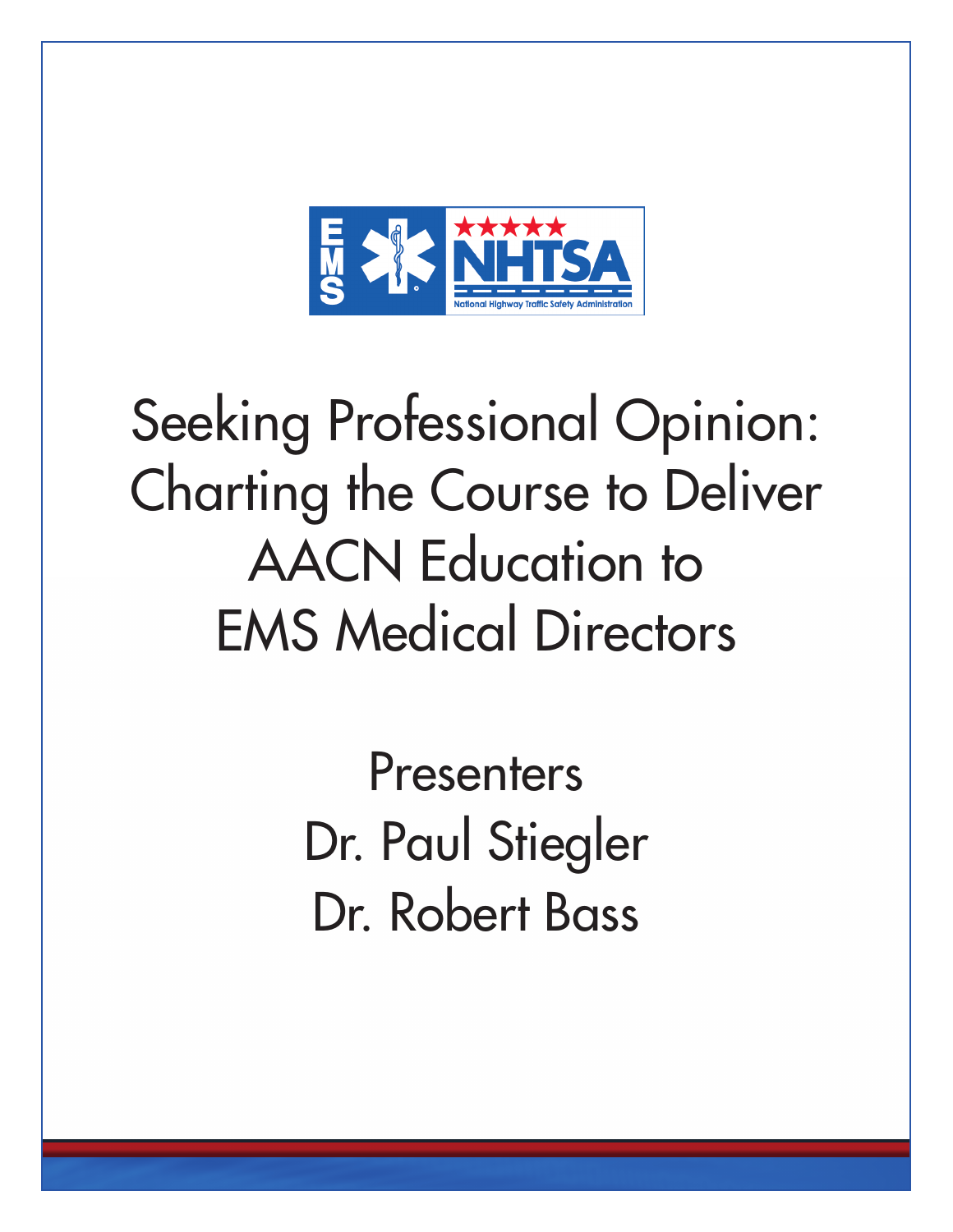

# Seeking Professional Opinion: Charting the Course to Deliver AACN Education to EMS Medical Directors

**Presenters** Dr. Paul Stiegler Dr. Robert Bass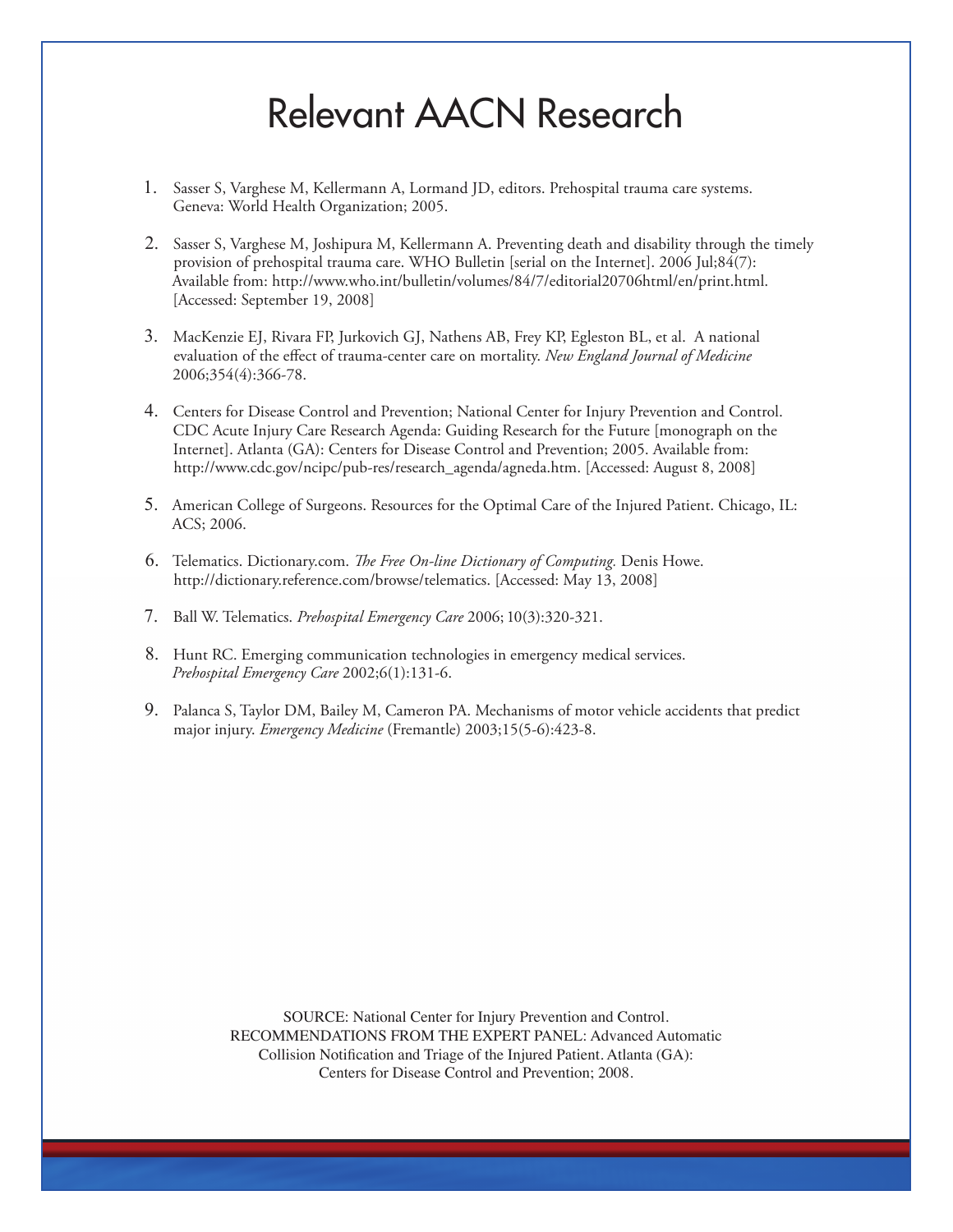# Relevant AACN Research

- 1. Sasser S, Varghese M, Kellermann A, Lormand JD, editors. Prehospital trauma care systems. Geneva: World Health Organization; 2005.
- 2. Sasser S, Varghese M, Joshipura M, Kellermann A. Preventing death and disability through the timely provision of prehospital trauma care. WHO Bulletin [serial on the Internet]. 2006 Jul;84(7): Available from: http://www.who.int/bulletin/volumes/84/7/editorial20706html/en/print.html. [Accessed: September 19, 2008]
- 3. MacKenzie EJ, Rivara FP, Jurkovich GJ, Nathens AB, Frey KP, Egleston BL, et al. A national evaluation of the effect of trauma-center care on mortality. *New England Journal of Medicine* 2006;354(4):366-78.
- 4. Centers for Disease Control and Prevention; National Center for Injury Prevention and Control. CDC Acute Injury Care Research Agenda: Guiding Research for the Future [monograph on the Internet]. Atlanta (GA): Centers for Disease Control and Prevention; 2005. Available from: http://www.cdc.gov/ncipc/pub-res/research\_agenda/agneda.htm. [Accessed: August 8, 2008]
- 5. American College of Surgeons. Resources for the Optimal Care of the Injured Patient. Chicago, IL: ACS; 2006.
- 6. Telematics. Dictionary.com. *The Free On-line Dictionary of Computing.* Denis Howe. http://dictionary.reference.com/browse/telematics. [Accessed: May 13, 2008]
- 7. Ball W. Telematics. *Prehospital Emergency Care* 2006; 10(3):320-321.

6 | **ADVANCED AUTOMATIC COLLISION NOTIFICATION AND TRIAGE OF THE INJURED PATIENT NATIONAL CENTER FOR INJURY PREVENTION AND CONTROL, DIVISION OF INJURY RESPONSE** | 7

- 8. Hunt RC. Emerging communication technologies in emergency medical services. *Prehospital Emergency Care* 2002;6(1):131-6.
- 9. Palanca S, Taylor DM, Bailey M, Cameron PA. Mechanisms of motor vehicle accidents that predict major injury. *Emergency Medicine* (Fremantle) 2003;15(5-6):423-8.

SOURCE: National Center for Injury Prevention and Control. RECOMMENDATIONS FROM THE EXPERT PANEL: Advanced Automatic Collision Notification and Triage of the Injured Patient. Atlanta (GA): Centers for Disease Control and Prevention; 2008.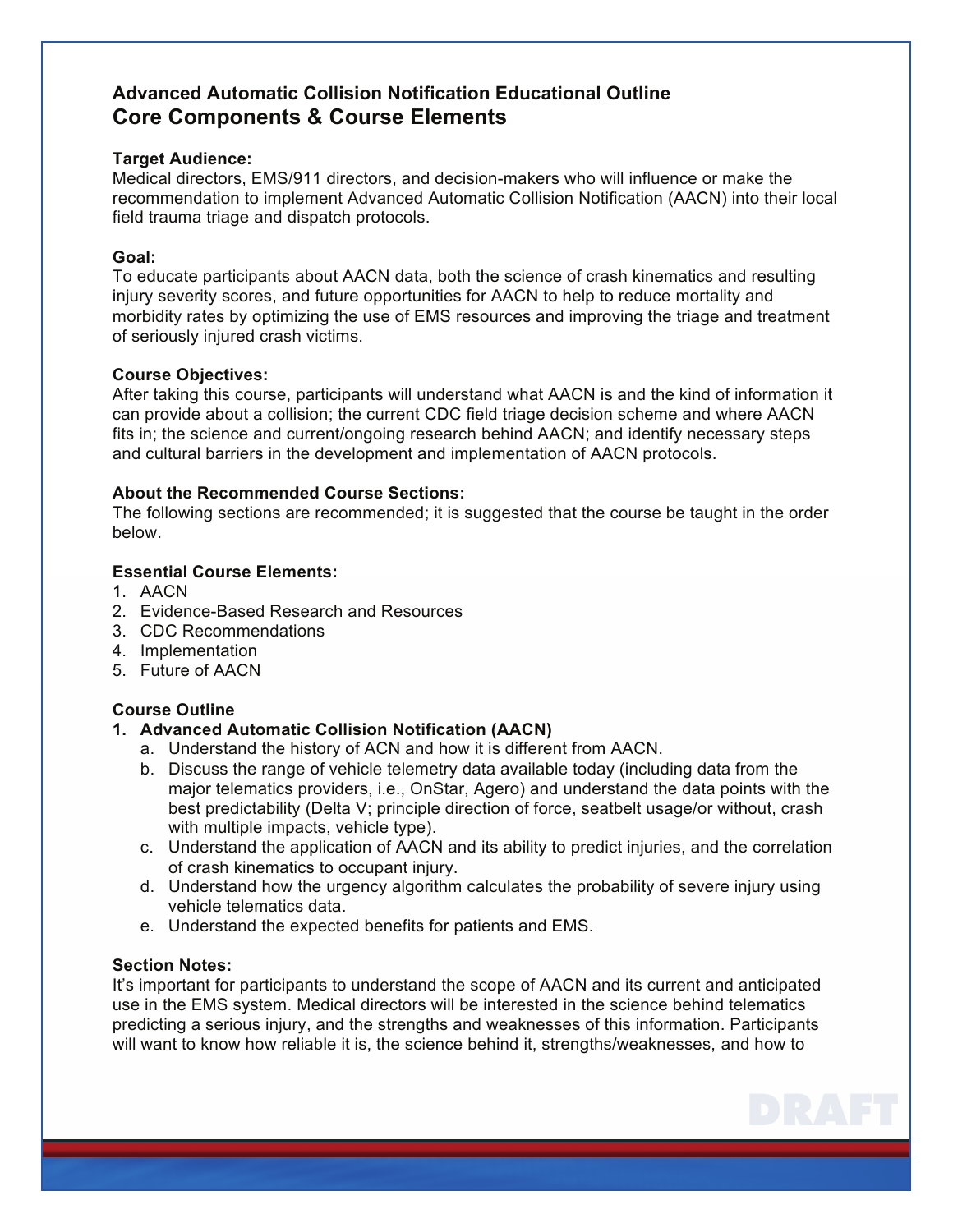# **Advanced Automatic Collision Notification Educational Outline Core Components & Course Elements**

# **Target Audience:**

Medical directors, EMS/911 directors, and decision-makers who will influence or make the recommendation to implement Advanced Automatic Collision Notification (AACN) into their local field trauma triage and dispatch protocols.

# **Goal:**

To educate participants about AACN data, both the science of crash kinematics and resulting injury severity scores, and future opportunities for AACN to help to reduce mortality and morbidity rates by optimizing the use of EMS resources and improving the triage and treatment of seriously injured crash victims.

# **Course Objectives:**

After taking this course, participants will understand what AACN is and the kind of information it can provide about a collision; the current CDC field triage decision scheme and where AACN fits in; the science and current/ongoing research behind AACN; and identify necessary steps and cultural barriers in the development and implementation of AACN protocols.

# **About the Recommended Course Sections:**

The following sections are recommended; it is suggested that the course be taught in the order below.

# **Essential Course Elements:**

- 1. AACN
- 2. Evidence-Based Research and Resources
- 3. CDC Recommendations
- 4. Implementation
- 5. Future of AACN

# **Course Outline**

# **1. Advanced Automatic Collision Notification (AACN)**

- a. Understand the history of ACN and how it is different from AACN.
- b. Discuss the range of vehicle telemetry data available today (including data from the major telematics providers, i.e., OnStar, Agero) and understand the data points with the best predictability (Delta V; principle direction of force, seatbelt usage/or without, crash with multiple impacts, vehicle type).
- c. Understand the application of AACN and its ability to predict injuries, and the correlation of crash kinematics to occupant injury.
- d. Understand how the urgency algorithm calculates the probability of severe injury using vehicle telematics data.
- e. Understand the expected benefits for patients and EMS.

# **Section Notes:**

It's important for participants to understand the scope of AACN and its current and anticipated use in the EMS system. Medical directors will be interested in the science behind telematics predicting a serious injury, and the strengths and weaknesses of this information. Participants will want to know how reliable it is, the science behind it, strengths/weaknesses, and how to

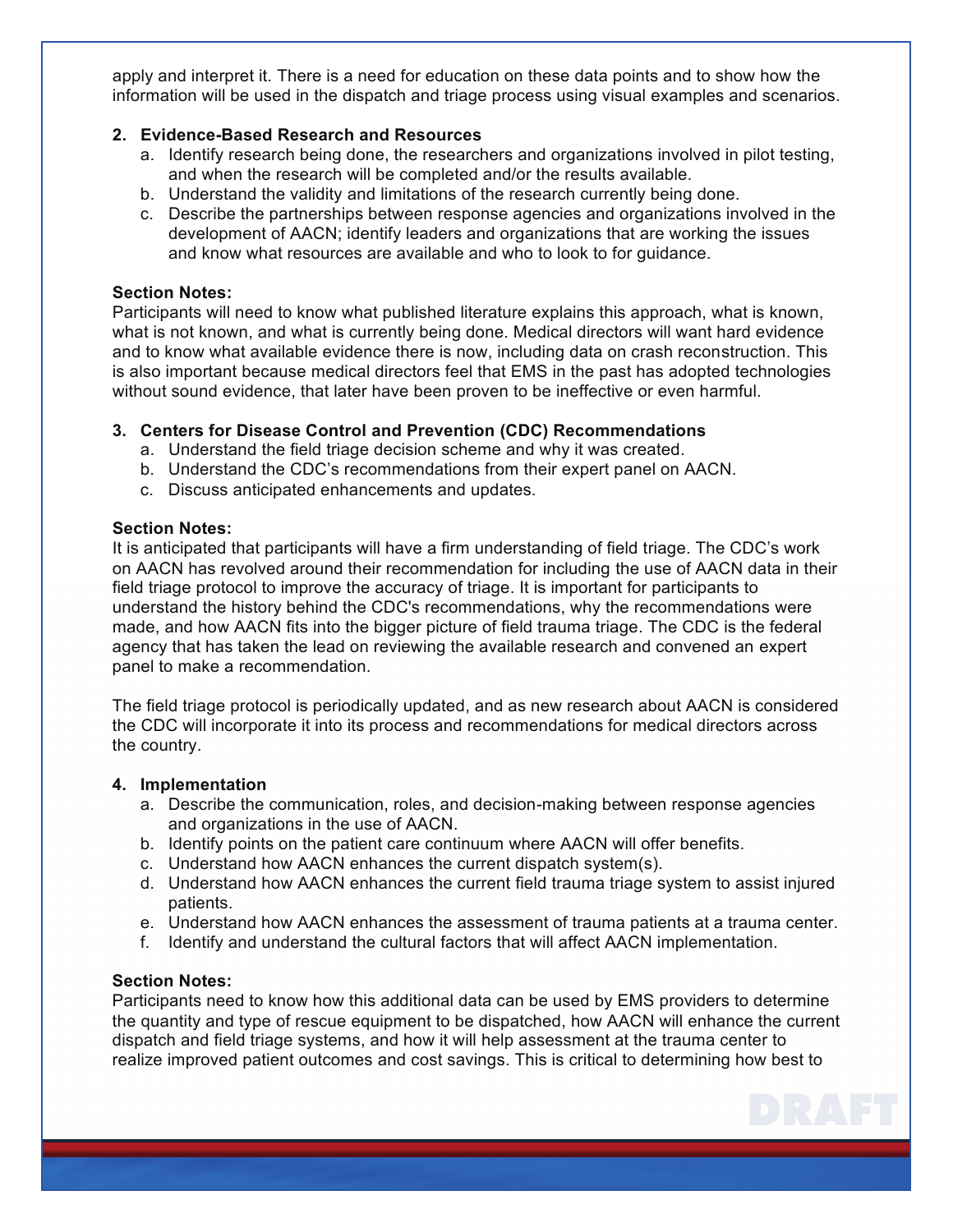apply and interpret it. There is a need for education on these data points and to show how the information will be used in the dispatch and triage process using visual examples and scenarios.

# **2. Evidence-Based Research and Resources**

- a. Identify research being done, the researchers and organizations involved in pilot testing, and when the research will be completed and/or the results available.
- b. Understand the validity and limitations of the research currently being done.
- c. Describe the partnerships between response agencies and organizations involved in the development of AACN; identify leaders and organizations that are working the issues and know what resources are available and who to look to for guidance.

# **Section Notes:**

Participants will need to know what published literature explains this approach, what is known, what is not known, and what is currently being done. Medical directors will want hard evidence and to know what available evidence there is now, including data on crash reconstruction. This is also important because medical directors feel that EMS in the past has adopted technologies without sound evidence, that later have been proven to be ineffective or even harmful.

# **3. Centers for Disease Control and Prevention (CDC) Recommendations**

- a. Understand the field triage decision scheme and why it was created.
- b. Understand the CDC's recommendations from their expert panel on AACN.
- c. Discuss anticipated enhancements and updates*.*

# **Section Notes:**

It is anticipated that participants will have a firm understanding of field triage. The CDC's work on AACN has revolved around their recommendation for including the use of AACN data in their field triage protocol to improve the accuracy of triage. It is important for participants to understand the history behind the CDC's recommendations, why the recommendations were made, and how AACN fits into the bigger picture of field trauma triage. The CDC is the federal agency that has taken the lead on reviewing the available research and convened an expert panel to make a recommendation.

The field triage protocol is periodically updated, and as new research about AACN is considered the CDC will incorporate it into its process and recommendations for medical directors across the country.

# **4. Implementation**

- a. Describe the communication, roles, and decision-making between response agencies and organizations in the use of AACN.
- b. Identify points on the patient care continuum where AACN will offer benefits.
- c. Understand how AACN enhances the current dispatch system(s).
- d. Understand how AACN enhances the current field trauma triage system to assist injured patients.
- e. Understand how AACN enhances the assessment of trauma patients at a trauma center.
- f. Identify and understand the cultural factors that will affect AACN implementation.

# **Section Notes:**

Participants need to know how this additional data can be used by EMS providers to determine the quantity and type of rescue equipment to be dispatched, how AACN will enhance the current dispatch and field triage systems, and how it will help assessment at the trauma center to realize improved patient outcomes and cost savings. This is critical to determining how best to

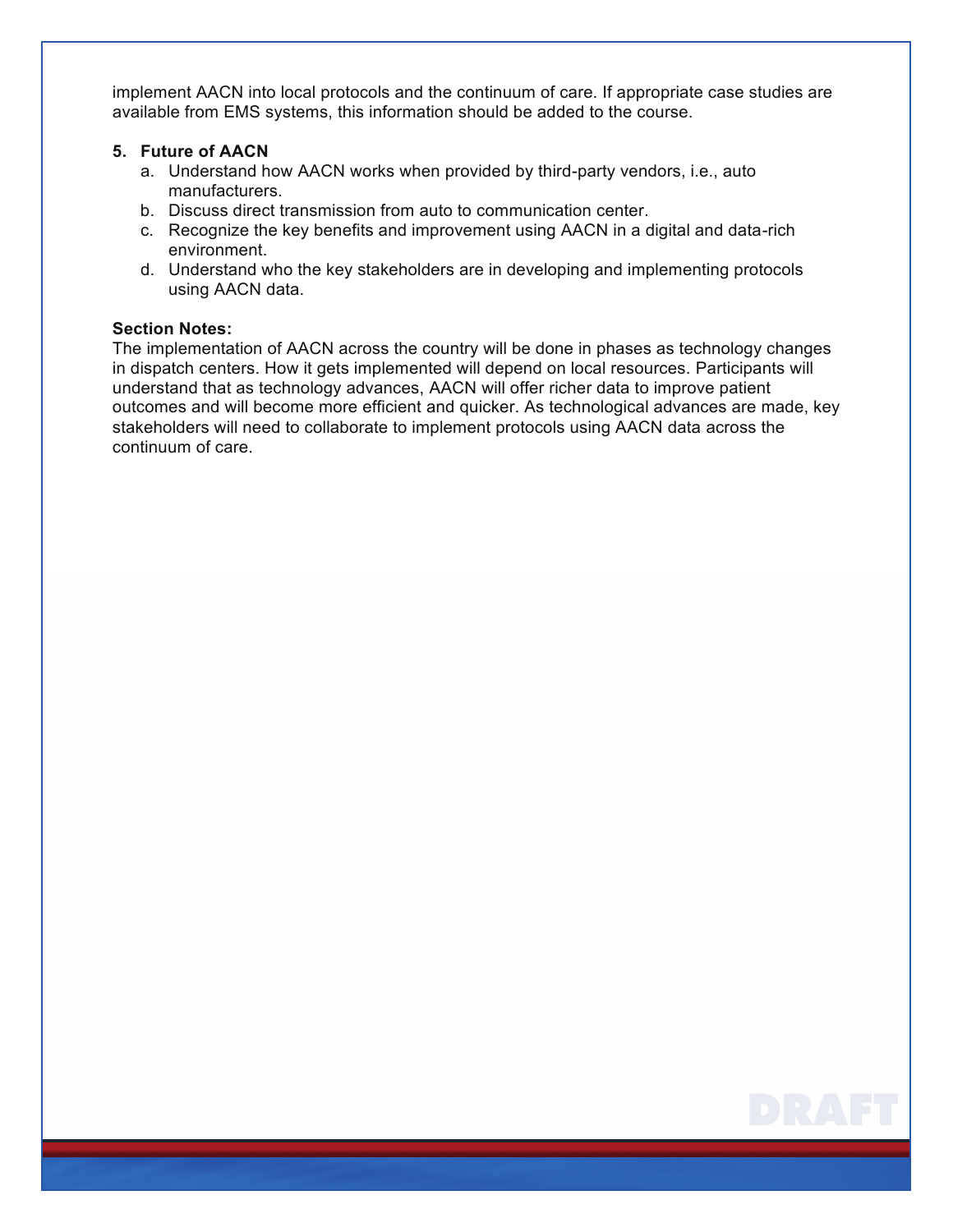implement AACN into local protocols and the continuum of care. If appropriate case studies are available from EMS systems, this information should be added to the course.

# **5. Future of AACN**

- a. Understand how AACN works when provided by third-party vendors, i.e., auto manufacturers.
- b. Discuss direct transmission from auto to communication center.
- c. Recognize the key benefits and improvement using AACN in a digital and data-rich environment.
- d. Understand who the key stakeholders are in developing and implementing protocols using AACN data.

# **Section Notes:**

The implementation of AACN across the country will be done in phases as technology changes in dispatch centers. How it gets implemented will depend on local resources. Participants will understand that as technology advances, AACN will offer richer data to improve patient outcomes and will become more efficient and quicker. As technological advances are made, key stakeholders will need to collaborate to implement protocols using AACN data across the continuum of care.

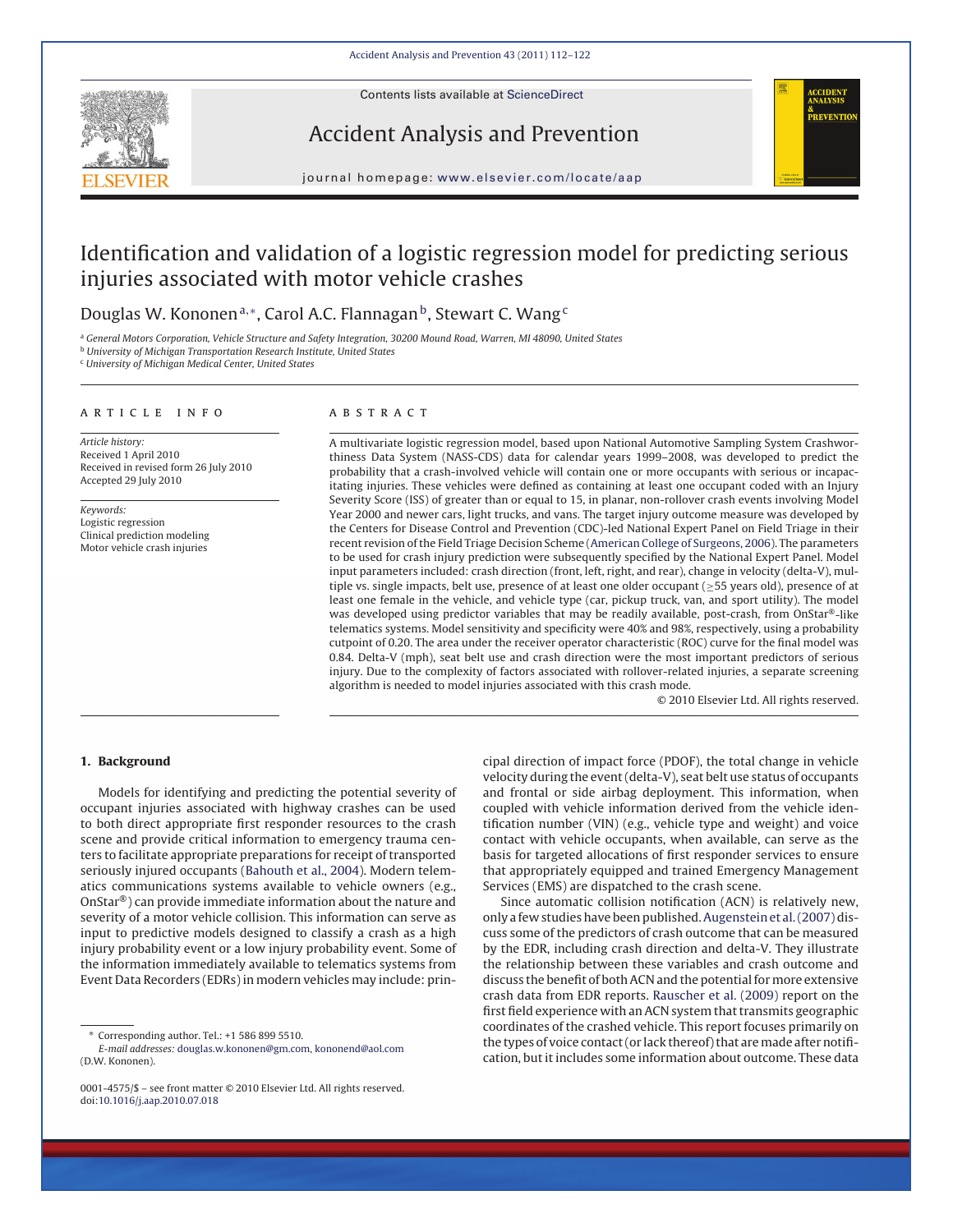

Contents lists available at ScienceDirect

# Accident Analysis and Prevention

journal homepage: www.elsevier.com/locate/aap

# Identification and validation of a logistic regression model for predicting serious injuries associated with motor vehicle crashes

Douglas W. Kononen<sup>a,</sup>\*, Carol A.C. Flannagan<sup>b</sup>, Stewart C. Wang<sup>c</sup>

<sup>a</sup> General Motors Corporation, Vehicle Structure and Safety Integration, 30200 Mound Road, Warren, MI 48090, United States

**b University of Michigan Transportation Research Institute, United States** 

<sup>c</sup> University of Michigan Medical Center, United States

#### a r t i c l e i n f o

Article history: Received 1 April 2010 Received in revised form 26 July 2010 Accepted 29 July 2010

Keywords: Logistic regression Clinical prediction modeling Motor vehicle crash injuries

#### A B S T R A C T

A multivariate logistic regression model, based upon National Automotive Sampling System Crashworthiness Data System (NASS-CDS) data for calendar years 1999–2008, was developed to predict the probability that a crash-involved vehicle will contain one or more occupants with serious or incapacitating injuries. These vehicles were defined as containing at least one occupant coded with an Injury Severity Score (ISS) of greater than or equal to 15, in planar, non-rollover crash events involving Model Year 2000 and newer cars, light trucks, and vans. The target injury outcome measure was developed by the Centers for Disease Control and Prevention (CDC)-led National Expert Panel on Field Triage in their recent revision of the Field Triage Decision Scheme (American College of Surgeons, 2006). The parameters to be used for crash injury prediction were subsequently specified by the National Expert Panel. Model input parameters included: crash direction (front, left, right, and rear), change in velocity (delta-V), multiple vs. single impacts, belt use, presence of at least one older occupant (≥55 years old), presence of at least one female in the vehicle, and vehicle type (car, pickup truck, van, and sport utility). The model was developed using predictor variables that may be readily available, post-crash, from OnStar®-like telematics systems. Model sensitivity and specificity were 40% and 98%, respectively, using a probability cutpoint of 0.20. The area under the receiver operator characteristic (ROC) curve for the final model was 0.84. Delta-V (mph), seat belt use and crash direction were the most important predictors of serious injury. Due to the complexity of factors associated with rollover-related injuries, a separate screening algorithm is needed to model injuries associated with this crash mode.

© 2010 Elsevier Ltd. All rights reserved.

#### 1. Background

Models for identifying and predicting the potential severity of occupant injuries associated with highway crashes can be used to both direct appropriate first responder resources to the crash scene and provide critical information to emergency trauma centers to facilitate appropriate preparations for receipt of transported seriously injured occupants (Bahouth et al., 2004). Modern telematics communications systems available to vehicle owners (e.g., OnStar®) can provide immediate information about the nature and severity of a motor vehicle collision. This information can serve as input to predictive models designed to classify a crash as a high injury probability event or a low injury probability event. Some of the information immediately available to telematics systems from Event Data Recorders (EDRs) in modern vehicles may include: prin-

∗ Corresponding author. Tel.: +1 586 899 5510.

cipal direction of impact force (PDOF), the total change in vehicle velocity during the event (delta-V), seat belt use status of occupants and frontal or side airbag deployment. This information, when coupled with vehicle information derived from the vehicle identification number (VIN) (e.g., vehicle type and weight) and voice contact with vehicle occupants, when available, can serve as the basis for targeted allocations of first responder services to ensure that appropriately equipped and trained Emergency Management Services (EMS) are dispatched to the crash scene.

Since automatic collision notification (ACN) is relatively new, only a few studies have been published.Augenstein et al. (2007) discuss some of the predictors of crash outcome that can be measured by the EDR, including crash direction and delta-V. They illustrate the relationship between these variables and crash outcome and discuss the benefit of both ACN and the potential for more extensive crash data from EDR reports. Rauscher et al. (2009) report on the first field experience with an ACN system that transmits geographic coordinates of the crashed vehicle. This report focuses primarily on the types of voice contact (or lack thereof) that aremade after notification, but it includes some information about outcome. These data

E-mail addresses: douglas.w.kononen@gm.com, kononend@aol.com (D.W. Kononen).

<sup>0001-4575/\$ –</sup> see front matter © 2010 Elsevier Ltd. All rights reserved. doi:10.1016/j.aap.2010.07.018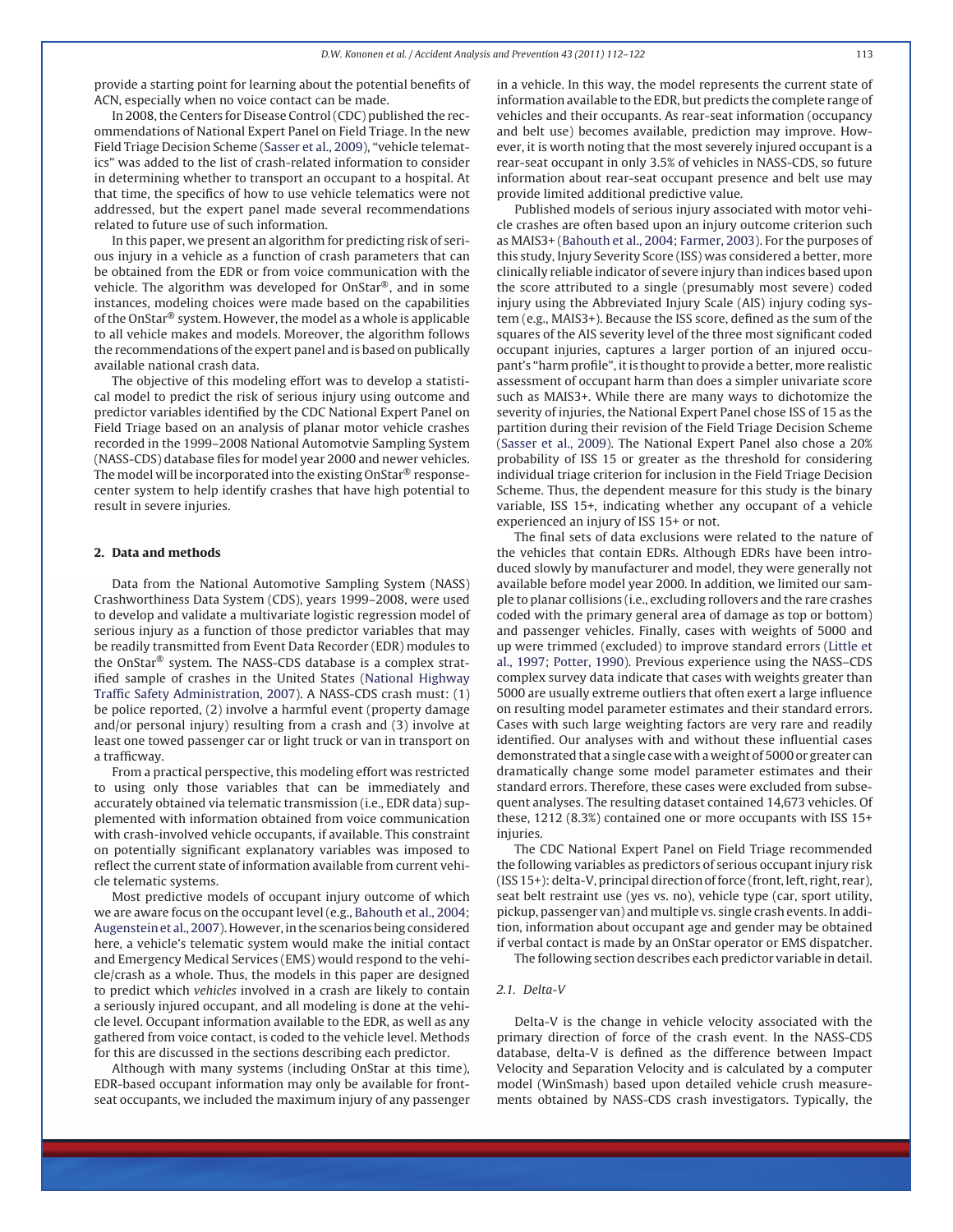provide a starting point for learning about the potential benefits of ACN, especially when no voice contact can be made.

In 2008, the Centers for Disease Control (CDC) published the recommendations of National Expert Panel on Field Triage. In the new Field Triage Decision Scheme (Sasser et al., 2009), "vehicle telematics" was added to the list of crash-related information to consider in determining whether to transport an occupant to a hospital. At that time, the specifics of how to use vehicle telematics were not addressed, but the expert panel made several recommendations related to future use of such information.

In this paper, we present an algorithm for predicting risk of serious injury in a vehicle as a function of crash parameters that can be obtained from the EDR or from voice communication with the vehicle. The algorithm was developed for OnStar®, and in some instances, modeling choices were made based on the capabilities of the OnStar® system. However, the model as a whole is applicable to all vehicle makes and models. Moreover, the algorithm follows the recommendations of the expert panel and is based on publically available national crash data.

The objective of this modeling effort was to develop a statistical model to predict the risk of serious injury using outcome and predictor variables identified by the CDC National Expert Panel on Field Triage based on an analysis of planar motor vehicle crashes recorded in the 1999–2008 National Automotvie Sampling System (NASS-CDS) database files for model year 2000 and newer vehicles. The model will be incorporated into the existing OnStar® responsecenter system to help identify crashes that have high potential to result in severe injuries.

#### 2. Data and methods

Data from the National Automotive Sampling System (NASS) Crashworthiness Data System (CDS), years 1999–2008, were used to develop and validate a multivariate logistic regression model of serious injury as a function of those predictor variables that may be readily transmitted from Event Data Recorder (EDR) modules to the OnStar® system. The NASS-CDS database is a complex stratified sample of crashes in the United States (National Highway Traffic Safety Administration, 2007). A NASS-CDS crash must: (1) be police reported, (2) involve a harmful event (property damage and/or personal injury) resulting from a crash and (3) involve at least one towed passenger car or light truck or van in transport on a trafficway.

From a practical perspective, this modeling effort was restricted to using only those variables that can be immediately and accurately obtained via telematic transmission (i.e., EDR data) supplemented with information obtained from voice communication with crash-involved vehicle occupants, if available. This constraint on potentially significant explanatory variables was imposed to reflect the current state of information available from current vehicle telematic systems.

Most predictive models of occupant injury outcome of which we are aware focus on the occupant level (e.g., Bahouth et al., 2004; Augenstein et al., 2007). However, in the scenarios being considered here, a vehicle's telematic system would make the initial contact and Emergency Medical Services (EMS) would respond to the vehicle/crash as a whole. Thus, the models in this paper are designed to predict which vehicles involved in a crash are likely to contain a seriously injured occupant, and all modeling is done at the vehicle level. Occupant information available to the EDR, as well as any gathered from voice contact, is coded to the vehicle level. Methods for this are discussed in the sections describing each predictor.

Although with many systems (including OnStar at this time), EDR-based occupant information may only be available for frontseat occupants, we included the maximum injury of any passenger in a vehicle. In this way, the model represents the current state of information available to the EDR, but predicts the complete range of vehicles and their occupants. As rear-seat information (occupancy and belt use) becomes available, prediction may improve. However, it is worth noting that the most severely injured occupant is a rear-seat occupant in only 3.5% of vehicles in NASS-CDS, so future information about rear-seat occupant presence and belt use may provide limited additional predictive value.

Published models of serious injury associated with motor vehicle crashes are often based upon an injury outcome criterion such as MAIS3+ (Bahouth et al., 2004; Farmer, 2003). For the purposes of this study, Injury Severity Score (ISS) was considered a better, more clinically reliable indicator of severe injury than indices based upon the score attributed to a single (presumably most severe) coded injury using the Abbreviated Injury Scale (AIS) injury coding system (e.g., MAIS3+). Because the ISS score, defined as the sum of the squares of the AIS severity level of the three most significant coded occupant injuries, captures a larger portion of an injured occupant's "harm profile", it is thought to provide a better, more realistic assessment of occupant harm than does a simpler univariate score such as MAIS3+. While there are many ways to dichotomize the severity of injuries, the National Expert Panel chose ISS of 15 as the partition during their revision of the Field Triage Decision Scheme (Sasser et al., 2009). The National Expert Panel also chose a 20% probability of ISS 15 or greater as the threshold for considering individual triage criterion for inclusion in the Field Triage Decision Scheme. Thus, the dependent measure for this study is the binary variable, ISS 15+, indicating whether any occupant of a vehicle experienced an injury of ISS 15+ or not.

The final sets of data exclusions were related to the nature of the vehicles that contain EDRs. Although EDRs have been introduced slowly by manufacturer and model, they were generally not available before model year 2000. In addition, we limited our sample to planar collisions (i.e., excluding rollovers and the rare crashes coded with the primary general area of damage as top or bottom) and passenger vehicles. Finally, cases with weights of 5000 and up were trimmed (excluded) to improve standard errors (Little et al., 1997; Potter, 1990). Previous experience using the NASS–CDS complex survey data indicate that cases with weights greater than 5000 are usually extreme outliers that often exert a large influence on resulting model parameter estimates and their standard errors. Cases with such large weighting factors are very rare and readily identified. Our analyses with and without these influential cases demonstrated that a single case with a weight of 5000 or greater can dramatically change some model parameter estimates and their standard errors. Therefore, these cases were excluded from subsequent analyses. The resulting dataset contained 14,673 vehicles. Of these, 1212 (8.3%) contained one or more occupants with ISS 15+ injuries.

The CDC National Expert Panel on Field Triage recommended the following variables as predictors of serious occupant injury risk (ISS 15+): delta-V, principal direction of force (front, left, right, rear), seat belt restraint use (yes vs. no), vehicle type (car, sport utility, pickup, passenger van) and multiple vs. single crash events. In addition, information about occupant age and gender may be obtained if verbal contact is made by an OnStar operator or EMS dispatcher.

The following section describes each predictor variable in detail.

#### 2.1. Delta-V

Delta-V is the change in vehicle velocity associated with the primary direction of force of the crash event. In the NASS-CDS database, delta-V is defined as the difference between Impact Velocity and Separation Velocity and is calculated by a computer model (WinSmash) based upon detailed vehicle crush measurements obtained by NASS-CDS crash investigators. Typically, the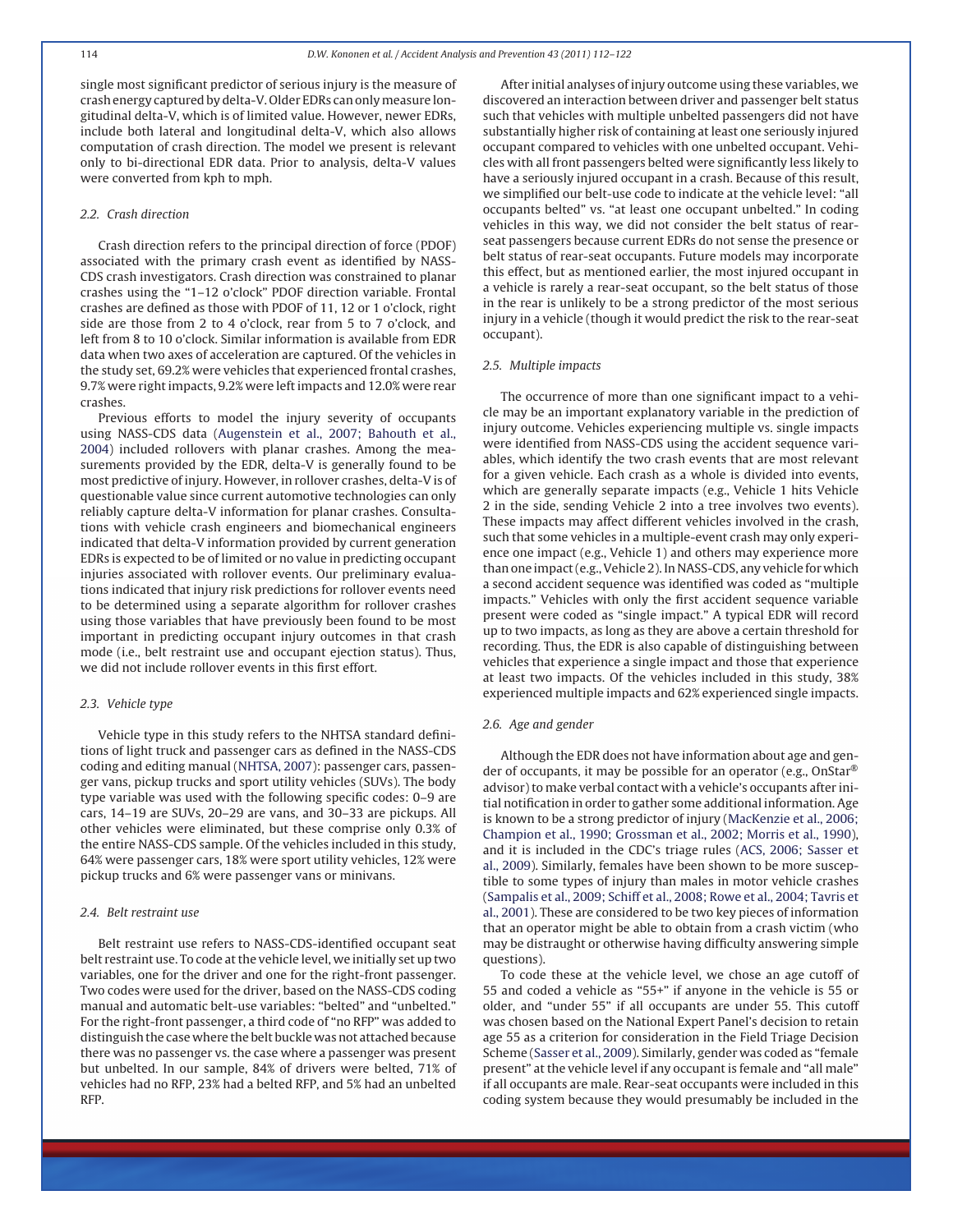single most significant predictor of serious injury is the measure of crash energy captured by delta-V. Older EDRs can onlymeasure longitudinal delta-V, which is of limited value. However, newer EDRs, include both lateral and longitudinal delta-V, which also allows computation of crash direction. The model we present is relevant only to bi-directional EDR data. Prior to analysis, delta-V values were converted from kph to mph.

#### 2.2. Crash direction

Crash direction refers to the principal direction of force (PDOF) associated with the primary crash event as identified by NASS-CDS crash investigators. Crash direction was constrained to planar crashes using the "1–12 o'clock" PDOF direction variable. Frontal crashes are defined as those with PDOF of 11, 12 or 1 o'clock, right side are those from 2 to 4 o'clock, rear from 5 to 7 o'clock, and left from 8 to 10 o'clock. Similar information is available from EDR data when two axes of acceleration are captured. Of the vehicles in the study set, 69.2% were vehicles that experienced frontal crashes, 9.7% were right impacts, 9.2% were left impacts and 12.0% were rear crashes.

Previous efforts to model the injury severity of occupants using NASS-CDS data (Augenstein et al., 2007; Bahouth et al., 2004) included rollovers with planar crashes. Among the measurements provided by the EDR, delta-V is generally found to be most predictive of injury. However, in rollover crashes, delta-V is of questionable value since current automotive technologies can only reliably capture delta-V information for planar crashes. Consultations with vehicle crash engineers and biomechanical engineers indicated that delta-V information provided by current generation EDRs is expected to be of limited or no value in predicting occupant injuries associated with rollover events. Our preliminary evaluations indicated that injury risk predictions for rollover events need to be determined using a separate algorithm for rollover crashes using those variables that have previously been found to be most important in predicting occupant injury outcomes in that crash mode (i.e., belt restraint use and occupant ejection status). Thus, we did not include rollover events in this first effort.

#### 2.3. Vehicle type

Vehicle type in this study refers to the NHTSA standard definitions of light truck and passenger cars as defined in the NASS-CDS coding and editing manual (NHTSA, 2007): passenger cars, passenger vans, pickup trucks and sport utility vehicles (SUVs). The body type variable was used with the following specific codes: 0–9 are cars, 14–19 are SUVs, 20–29 are vans, and 30–33 are pickups. All other vehicles were eliminated, but these comprise only 0.3% of the entire NASS-CDS sample. Of the vehicles included in this study, 64% were passenger cars, 18% were sport utility vehicles, 12% were pickup trucks and 6% were passenger vans or minivans.

#### 2.4. Belt restraint use

Belt restraint use refers to NASS-CDS-identified occupant seat belt restraint use. To code at the vehicle level, we initially set up two variables, one for the driver and one for the right-front passenger. Two codes were used for the driver, based on the NASS-CDS coding manual and automatic belt-use variables: "belted" and "unbelted." For the right-front passenger, a third code of "no RFP" was added to distinguish the case where the belt buckle was not attached because there was no passenger vs. the case where a passenger was present but unbelted. In our sample, 84% of drivers were belted, 71% of vehicles had no RFP, 23% had a belted RFP, and 5% had an unbelted RFP.

After initial analyses of injury outcome using these variables, we discovered an interaction between driver and passenger belt status such that vehicles with multiple unbelted passengers did not have substantially higher risk of containing at least one seriously injured occupant compared to vehicles with one unbelted occupant. Vehicles with all front passengers belted were significantly less likely to have a seriously injured occupant in a crash. Because of this result, we simplified our belt-use code to indicate at the vehicle level: "all occupants belted" vs. "at least one occupant unbelted." In coding vehicles in this way, we did not consider the belt status of rearseat passengers because current EDRs do not sense the presence or belt status of rear-seat occupants. Future models may incorporate this effect, but as mentioned earlier, the most injured occupant in a vehicle is rarely a rear-seat occupant, so the belt status of those in the rear is unlikely to be a strong predictor of the most serious injury in a vehicle (though it would predict the risk to the rear-seat occupant).

#### 2.5. Multiple impacts

The occurrence of more than one significant impact to a vehicle may be an important explanatory variable in the prediction of injury outcome. Vehicles experiencing multiple vs. single impacts were identified from NASS-CDS using the accident sequence variables, which identify the two crash events that are most relevant for a given vehicle. Each crash as a whole is divided into events, which are generally separate impacts (e.g., Vehicle 1 hits Vehicle 2 in the side, sending Vehicle 2 into a tree involves two events). These impacts may affect different vehicles involved in the crash, such that some vehicles in a multiple-event crash may only experience one impact (e.g., Vehicle 1) and others may experience more than one impact (e.g., Vehicle 2). In NASS-CDS, any vehicle for which a second accident sequence was identified was coded as "multiple impacts." Vehicles with only the first accident sequence variable present were coded as "single impact." A typical EDR will record up to two impacts, as long as they are above a certain threshold for recording. Thus, the EDR is also capable of distinguishing between vehicles that experience a single impact and those that experience at least two impacts. Of the vehicles included in this study, 38% experienced multiple impacts and 62% experienced single impacts.

#### 2.6. Age and gender

Although the EDR does not have information about age and gender of occupants, it may be possible for an operator (e.g., OnStar® advisor) to make verbal contact with a vehicle's occupants after initial notification in order to gather some additional information. Age is known to be a strong predictor of injury (MacKenzie et al., 2006; Champion et al., 1990; Grossman et al., 2002; Morris et al., 1990), and it is included in the CDC's triage rules (ACS, 2006; Sasser et al., 2009). Similarly, females have been shown to be more susceptible to some types of injury than males in motor vehicle crashes (Sampalis et al., 2009; Schiff et al., 2008; Rowe et al., 2004; Tavris et al., 2001). These are considered to be two key pieces of information that an operator might be able to obtain from a crash victim (who may be distraught or otherwise having difficulty answering simple questions).

To code these at the vehicle level, we chose an age cutoff of 55 and coded a vehicle as "55+" if anyone in the vehicle is 55 or older, and "under 55" if all occupants are under 55. This cutoff was chosen based on the National Expert Panel's decision to retain age 55 as a criterion for consideration in the Field Triage Decision Scheme (Sasser et al., 2009). Similarly, gender was coded as "female present" at the vehicle level if any occupant is female and "all male" if all occupants are male. Rear-seat occupants were included in this coding system because they would presumably be included in the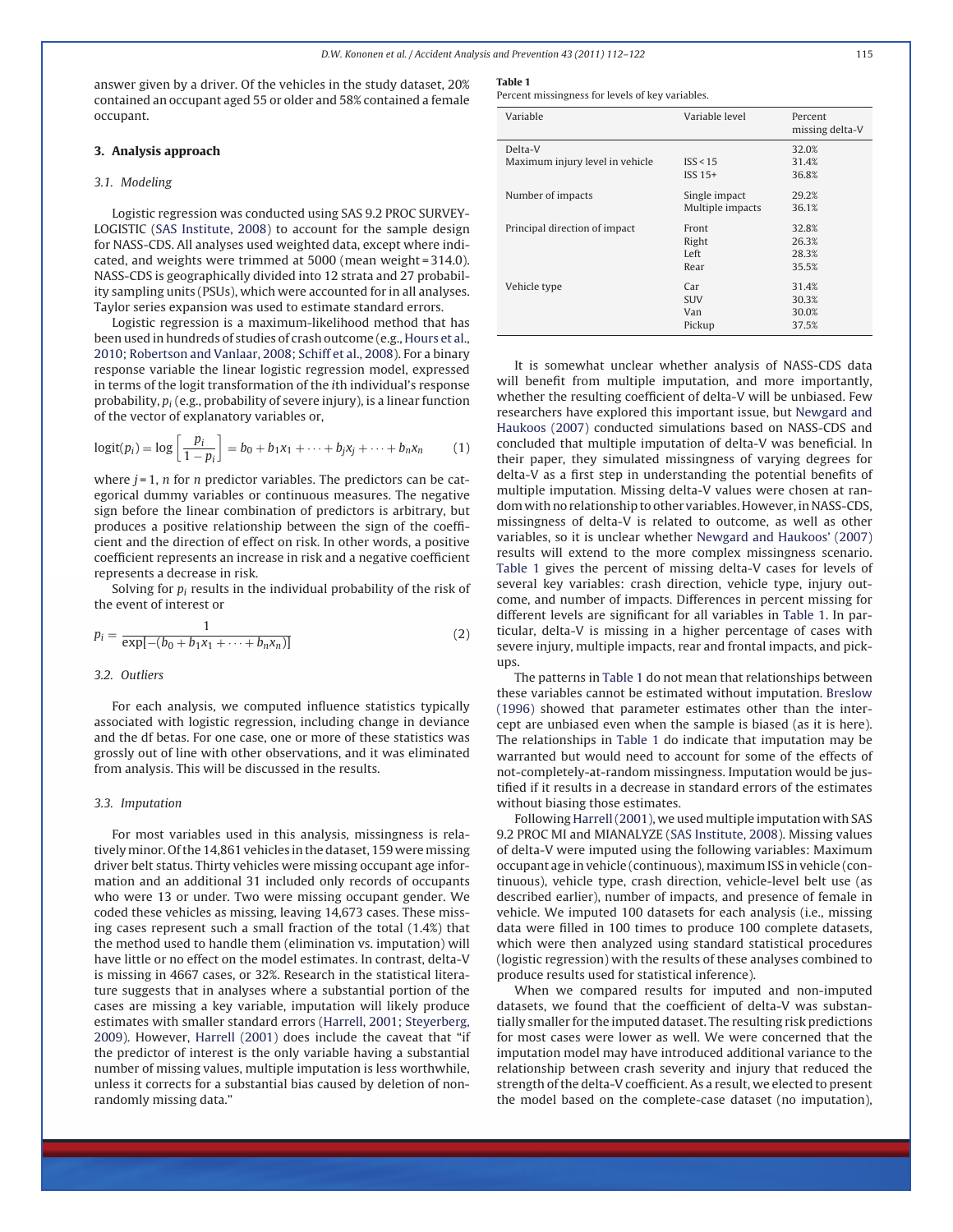answer given by a driver. Of the vehicles in the study dataset, 20% contained an occupant aged 55 or older and 58% contained a female occupant.

#### 3. Analysis approach

#### 3.1. Modeling

Logistic regression was conducted using SAS 9.2 PROC SURVEY-LOGISTIC (SAS Institute, 2008) to account for the sample design for NASS-CDS. All analyses used weighted data, except where indicated, and weights were trimmed at 5000 (mean weight = 314.0). NASS-CDS is geographically divided into 12 strata and 27 probability sampling units (PSUs), which were accounted for in all analyses. Taylor series expansion was used to estimate standard errors.

Logistic regression is a maximum-likelihood method that has been used in hundreds of studies of crash outcome (e.g., Hours et al., 2010; Robertson and Vanlaar, 2008; Schiff et al., 2008). For a binary response variable the linear logistic regression model, expressed in terms of the logit transformation of the ith individual's response probability,  $p_i$  (e.g., probability of severe injury), is a linear function of the vector of explanatory variables or,

$$
logit(p_i) = log\left[\frac{p_i}{1-p_i}\right] = b_0 + b_1x_1 + \dots + b_jx_j + \dots + b_nx_n \hspace{1cm} (1)
$$

where  $j = 1$ , *n* for *n* predictor variables. The predictors can be categorical dummy variables or continuous measures. The negative sign before the linear combination of predictors is arbitrary, but produces a positive relationship between the sign of the coefficient and the direction of effect on risk. In other words, a positive coefficient represents an increase in risk and a negative coefficient represents a decrease in risk.

Solving for  $p_i$  results in the individual probability of the risk of the event of interest or

$$
p_i = \frac{1}{\exp[-(b_0 + b_1x_1 + \dots + b_nx_n)]}
$$
 (2)

#### 3.2. Outliers

For each analysis, we computed influence statistics typically associated with logistic regression, including change in deviance and the df betas. For one case, one or more of these statistics was grossly out of line with other observations, and it was eliminated from analysis. This will be discussed in the results.

#### 3.3. Imputation

For most variables used in this analysis, missingness is relativelyminor. Of the 14,861 vehicles in the dataset, 159 weremissing driver belt status. Thirty vehicles were missing occupant age information and an additional 31 included only records of occupants who were 13 or under. Two were missing occupant gender. We coded these vehicles as missing, leaving 14,673 cases. These missing cases represent such a small fraction of the total (1.4%) that the method used to handle them (elimination vs. imputation) will have little or no effect on the model estimates. In contrast, delta-V is missing in 4667 cases, or 32%. Research in the statistical literature suggests that in analyses where a substantial portion of the cases are missing a key variable, imputation will likely produce estimates with smaller standard errors (Harrell, 2001; Steyerberg, 2009). However, Harrell (2001) does include the caveat that "if the predictor of interest is the only variable having a substantial number of missing values, multiple imputation is less worthwhile, unless it corrects for a substantial bias caused by deletion of nonrandomly missing data."

#### Table 1

Percent missingness for levels of key variables.

| Variable                                   | Variable level                     | Percent<br>missing delta-V       |
|--------------------------------------------|------------------------------------|----------------------------------|
| Delta-V<br>Maximum injury level in vehicle | ISS < 15<br>$ISS 15+$              | 32.0%<br>31.4%<br>36.8%          |
| Number of impacts                          | Single impact<br>Multiple impacts  | 29.2%<br>36.1%                   |
| Principal direction of impact              | Front<br>Right<br>Left<br>Rear     | 32.8%<br>26.3%<br>28.3%<br>35.5% |
| Vehicle type                               | Car<br><b>SUV</b><br>Van<br>Pickup | 31.4%<br>30.3%<br>30.0%<br>37.5% |

It is somewhat unclear whether analysis of NASS-CDS data will benefit from multiple imputation, and more importantly, whether the resulting coefficient of delta-V will be unbiased. Few researchers have explored this important issue, but Newgard and Haukoos (2007) conducted simulations based on NASS-CDS and concluded that multiple imputation of delta-V was beneficial. In their paper, they simulated missingness of varying degrees for delta-V as a first step in understanding the potential benefits of multiple imputation. Missing delta-V values were chosen at random with no relationship to other variables. However, in NASS-CDS, missingness of delta-V is related to outcome, as well as other variables, so it is unclear whether Newgard and Haukoos' (2007) results will extend to the more complex missingness scenario. Table 1 gives the percent of missing delta-V cases for levels of several key variables: crash direction, vehicle type, injury outcome, and number of impacts. Differences in percent missing for different levels are significant for all variables in Table 1. In particular, delta-V is missing in a higher percentage of cases with severe injury, multiple impacts, rear and frontal impacts, and pickups.

The patterns in Table 1 do not mean that relationships between these variables cannot be estimated without imputation. Breslow (1996) showed that parameter estimates other than the intercept are unbiased even when the sample is biased (as it is here). The relationships in Table 1 do indicate that imputation may be warranted but would need to account for some of the effects of not-completely-at-random missingness. Imputation would be justified if it results in a decrease in standard errors of the estimates without biasing those estimates.

Following Harrell (2001), we used multiple imputation with SAS 9.2 PROC MI and MIANALYZE (SAS Institute, 2008). Missing values of delta-V were imputed using the following variables: Maximum occupant age in vehicle (continuous), maximum ISS in vehicle (continuous), vehicle type, crash direction, vehicle-level belt use (as described earlier), number of impacts, and presence of female in vehicle. We imputed 100 datasets for each analysis (i.e., missing data were filled in 100 times to produce 100 complete datasets, which were then analyzed using standard statistical procedures (logistic regression) with the results of these analyses combined to produce results used for statistical inference).

When we compared results for imputed and non-imputed datasets, we found that the coefficient of delta-V was substantially smaller for the imputed dataset. The resulting risk predictions for most cases were lower as well. We were concerned that the imputation model may have introduced additional variance to the relationship between crash severity and injury that reduced the strength of the delta-V coefficient. As a result, we elected to present the model based on the complete-case dataset (no imputation),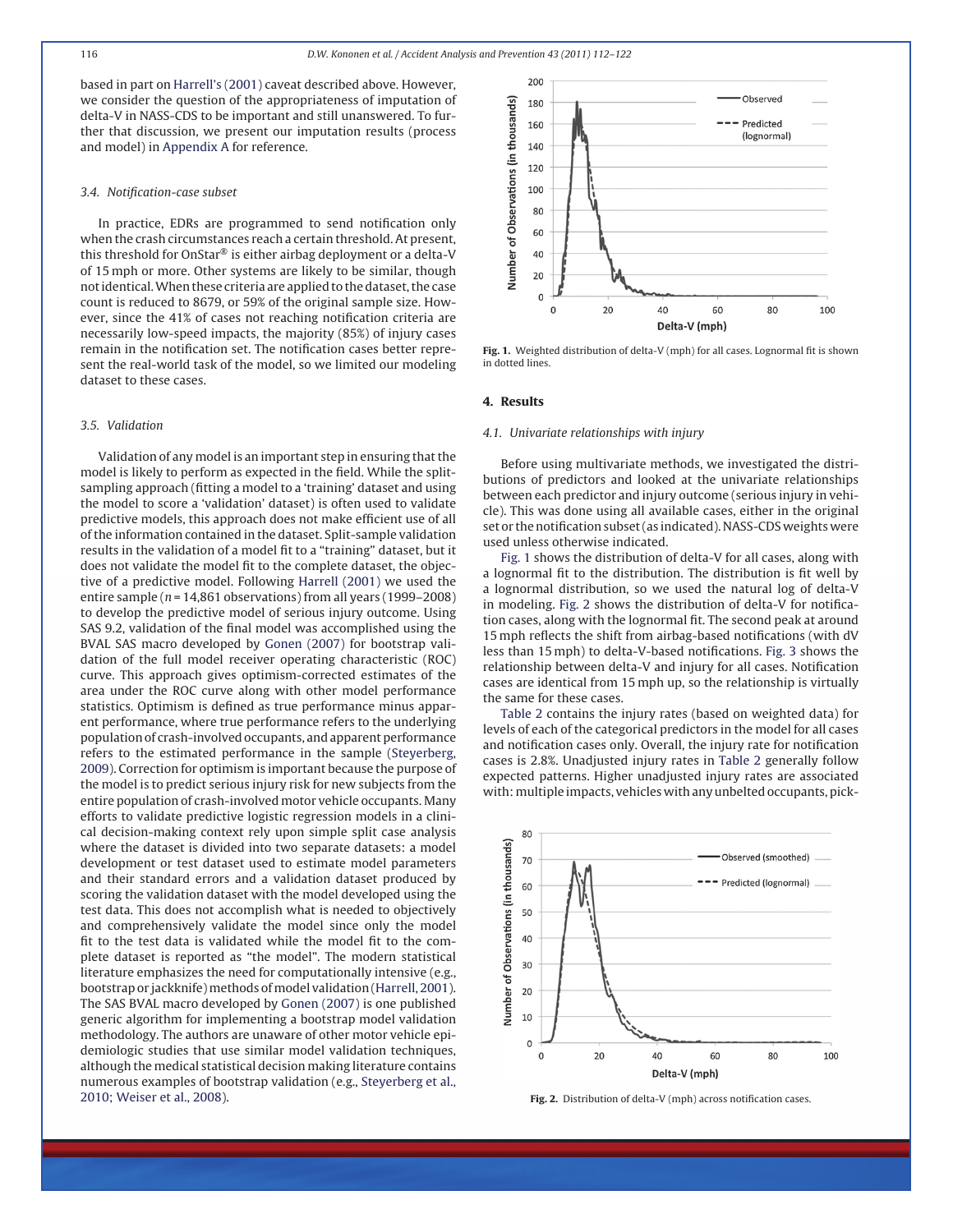based in part on Harrell's (2001) caveat described above. However, we consider the question of the appropriateness of imputation of delta-V in NASS-CDS to be important and still unanswered. To further that discussion, we present our imputation results (process and model) in Appendix A for reference.

#### 3.4. Notification-case subset

In practice, EDRs are programmed to send notification only when the crash circumstances reach a certain threshold. At present, this threshold for OnStar® is either airbag deployment or a delta-V of 15 mph or more. Other systems are likely to be similar, though not identical.When these criteria are applied to the dataset, the case count is reduced to 8679, or 59% of the original sample size. However, since the 41% of cases not reaching notification criteria are necessarily low-speed impacts, the majority (85%) of injury cases remain in the notification set. The notification cases better represent the real-world task of the model, so we limited our modeling dataset to these cases.

#### 3.5. Validation

Validation of any model is an important step in ensuring that the model is likely to perform as expected in the field. While the splitsampling approach (fitting a model to a 'training' dataset and using the model to score a 'validation' dataset) is often used to validate predictive models, this approach does not make efficient use of all of the information contained in the dataset. Split-sample validation results in the validation of a model fit to a "training" dataset, but it does not validate the model fit to the complete dataset, the objective of a predictive model. Following Harrell (2001) we used the entire sample ( $n = 14,861$  observations) from all years (1999–2008) to develop the predictive model of serious injury outcome. Using SAS 9.2, validation of the final model was accomplished using the BVAL SAS macro developed by Gonen (2007) for bootstrap validation of the full model receiver operating characteristic (ROC) curve. This approach gives optimism-corrected estimates of the area under the ROC curve along with other model performance statistics. Optimism is defined as true performance minus apparent performance, where true performance refers to the underlying population of crash-involved occupants, and apparent performance refers to the estimated performance in the sample (Steyerberg, 2009). Correction for optimism is important because the purpose of the model is to predict serious injury risk for new subjects from the entire population of crash-involved motor vehicle occupants. Many efforts to validate predictive logistic regression models in a clinical decision-making context rely upon simple split case analysis where the dataset is divided into two separate datasets: a model development or test dataset used to estimate model parameters and their standard errors and a validation dataset produced by scoring the validation dataset with the model developed using the test data. This does not accomplish what is needed to objectively and comprehensively validate the model since only the model fit to the test data is validated while the model fit to the complete dataset is reported as "the model". The modern statistical literature emphasizes the need for computationally intensive (e.g., bootstrap or jackknife) methods of model validation (Harrell, 2001). The SAS BVAL macro developed by Gonen (2007) is one published generic algorithm for implementing a bootstrap model validation methodology. The authors are unaware of other motor vehicle epidemiologic studies that use similar model validation techniques, although the medical statistical decision making literature contains numerous examples of bootstrap validation (e.g., Steyerberg et al., 2010; Weiser et al., 2008).



Fig. 1. Weighted distribution of delta-V (mph) for all cases. Lognormal fit is shown in dotted lines.

#### 4. Results

#### 4.1. Univariate relationships with injury

Before using multivariate methods, we investigated the distributions of predictors and looked at the univariate relationships between each predictor and injury outcome (serious injury in vehicle). This was done using all available cases, either in the original set or the notification subset (as indicated). NASS-CDS weights were used unless otherwise indicated.

Fig. 1 shows the distribution of delta-V for all cases, along with a lognormal fit to the distribution. The distribution is fit well by a lognormal distribution, so we used the natural log of delta-V in modeling. Fig. 2 shows the distribution of delta-V for notification cases, along with the lognormal fit. The second peak at around 15 mph reflects the shift from airbag-based notifications (with dV less than 15 mph) to delta-V-based notifications. Fig. 3 shows the relationship between delta-V and injury for all cases. Notification cases are identical from 15 mph up, so the relationship is virtually the same for these cases.

Table 2 contains the injury rates (based on weighted data) for levels of each of the categorical predictors in the model for all cases and notification cases only. Overall, the injury rate for notification cases is 2.8%. Unadjusted injury rates in Table 2 generally follow expected patterns. Higher unadjusted injury rates are associated with: multiple impacts, vehicles with any unbelted occupants, pick-



Fig. 2. Distribution of delta-V (mph) across notification cases.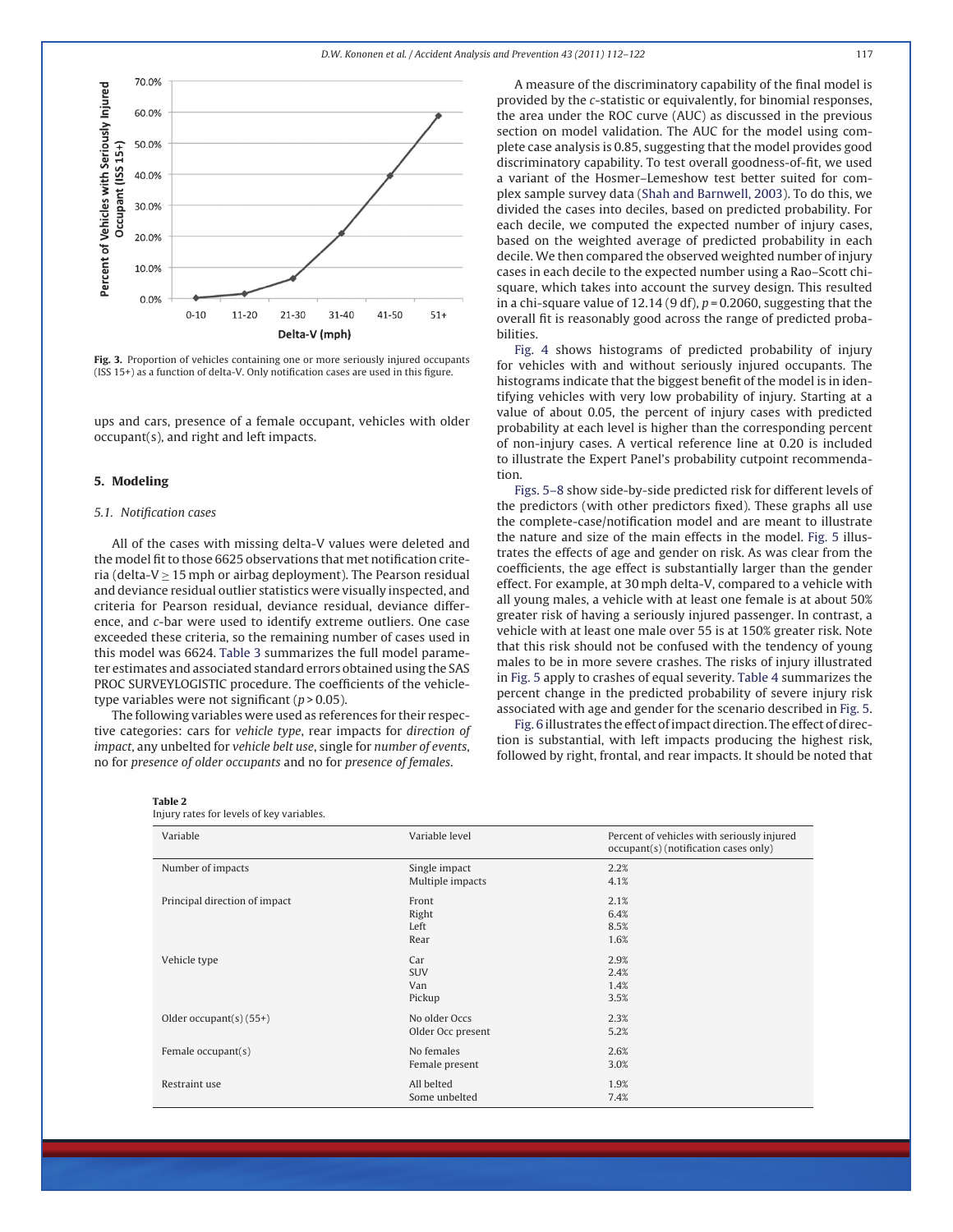

Fig. 3. Proportion of vehicles containing one or more seriously injured occupants (ISS 15+) as a function of delta-V. Only notification cases are used in this figure.

ups and cars, presence of a female occupant, vehicles with older occupant(s), and right and left impacts.

#### 5. Modeling

#### 5.1. Notification cases

All of the cases with missing delta-V values were deleted and the model fit to those 6625 observations that met notification criteria (delta-V  $\geq$  15 mph or airbag deployment). The Pearson residual and deviance residual outlier statistics were visually inspected, and criteria for Pearson residual, deviance residual, deviance difference, and c-bar were used to identify extreme outliers. One case exceeded these criteria, so the remaining number of cases used in this model was 6624. Table 3 summarizes the full model parameter estimates and associated standard errors obtained using the SAS PROC SURVEYLOGISTIC procedure. The coefficients of the vehicletype variables were not significant  $(p > 0.05)$ .

The following variables were used as references for their respective categories: cars for vehicle type, rear impacts for direction of impact, any unbelted for vehicle belt use, single for number of events, no for presence of older occupants and no for presence of females.

A measure of the discriminatory capability of the final model is provided by the c-statistic or equivalently, for binomial responses, the area under the ROC curve (AUC) as discussed in the previous section on model validation. The AUC for the model using complete case analysis is 0.85, suggesting that the model provides good discriminatory capability. To test overall goodness-of-fit, we used a variant of the Hosmer–Lemeshow test better suited for complex sample survey data (Shah and Barnwell, 2003). To do this, we divided the cases into deciles, based on predicted probability. For each decile, we computed the expected number of injury cases, based on the weighted average of predicted probability in each decile. We then compared the observed weighted number of injury cases in each decile to the expected number using a Rao–Scott chisquare, which takes into account the survey design. This resulted in a chi-square value of 12.14 (9 df),  $p = 0.2060$ , suggesting that the overall fit is reasonably good across the range of predicted probabilities.

Fig. 4 shows histograms of predicted probability of injury for vehicles with and without seriously injured occupants. The histograms indicate that the biggest benefit of the model is in identifying vehicles with very low probability of injury. Starting at a value of about 0.05, the percent of injury cases with predicted probability at each level is higher than the corresponding percent of non-injury cases. A vertical reference line at 0.20 is included to illustrate the Expert Panel's probability cutpoint recommendation.

Figs. 5–8 show side-by-side predicted risk for different levels of the predictors (with other predictors fixed). These graphs all use the complete-case/notification model and are meant to illustrate the nature and size of the main effects in the model. Fig. 5 illustrates the effects of age and gender on risk. As was clear from the coefficients, the age effect is substantially larger than the gender effect. For example, at 30 mph delta-V, compared to a vehicle with all young males, a vehicle with at least one female is at about 50% greater risk of having a seriously injured passenger. In contrast, a vehicle with at least one male over 55 is at 150% greater risk. Note that this risk should not be confused with the tendency of young males to be in more severe crashes. The risks of injury illustrated in Fig. 5 apply to crashes of equal severity. Table 4 summarizes the percent change in the predicted probability of severe injury risk associated with age and gender for the scenario described in Fig. 5.

Fig. 6 illustrates the effect of impact direction. The effect of direction is substantial, with left impacts producing the highest risk, followed by right, frontal, and rear impacts. It should be noted that

|--|--|

Injury rates for levels of key variables.

| Variable                      | Variable level    | Percent of vehicles with seriously injured<br>occupant(s) (notification cases only) |
|-------------------------------|-------------------|-------------------------------------------------------------------------------------|
| Number of impacts             | Single impact     | 2.2%                                                                                |
|                               | Multiple impacts  | 4.1%                                                                                |
| Principal direction of impact | Front             | 2.1%                                                                                |
|                               | Right             | 6.4%                                                                                |
|                               | Left              | 8.5%                                                                                |
|                               | Rear              | 1.6%                                                                                |
| Vehicle type                  | Car               | 2.9%                                                                                |
|                               | <b>SUV</b>        | 2.4%                                                                                |
|                               | Van               | 1.4%                                                                                |
|                               | Pickup            | 3.5%                                                                                |
| Older occupant $(s)$ (55+)    | No older Occs     | 2.3%                                                                                |
|                               | Older Occ present | 5.2%                                                                                |
| Female occupant(s)            | No females        | 2.6%                                                                                |
|                               | Female present    | 3.0%                                                                                |
| Restraint use                 | All belted        | 1.9%                                                                                |
|                               | Some unbelted     | 7.4%                                                                                |
|                               |                   |                                                                                     |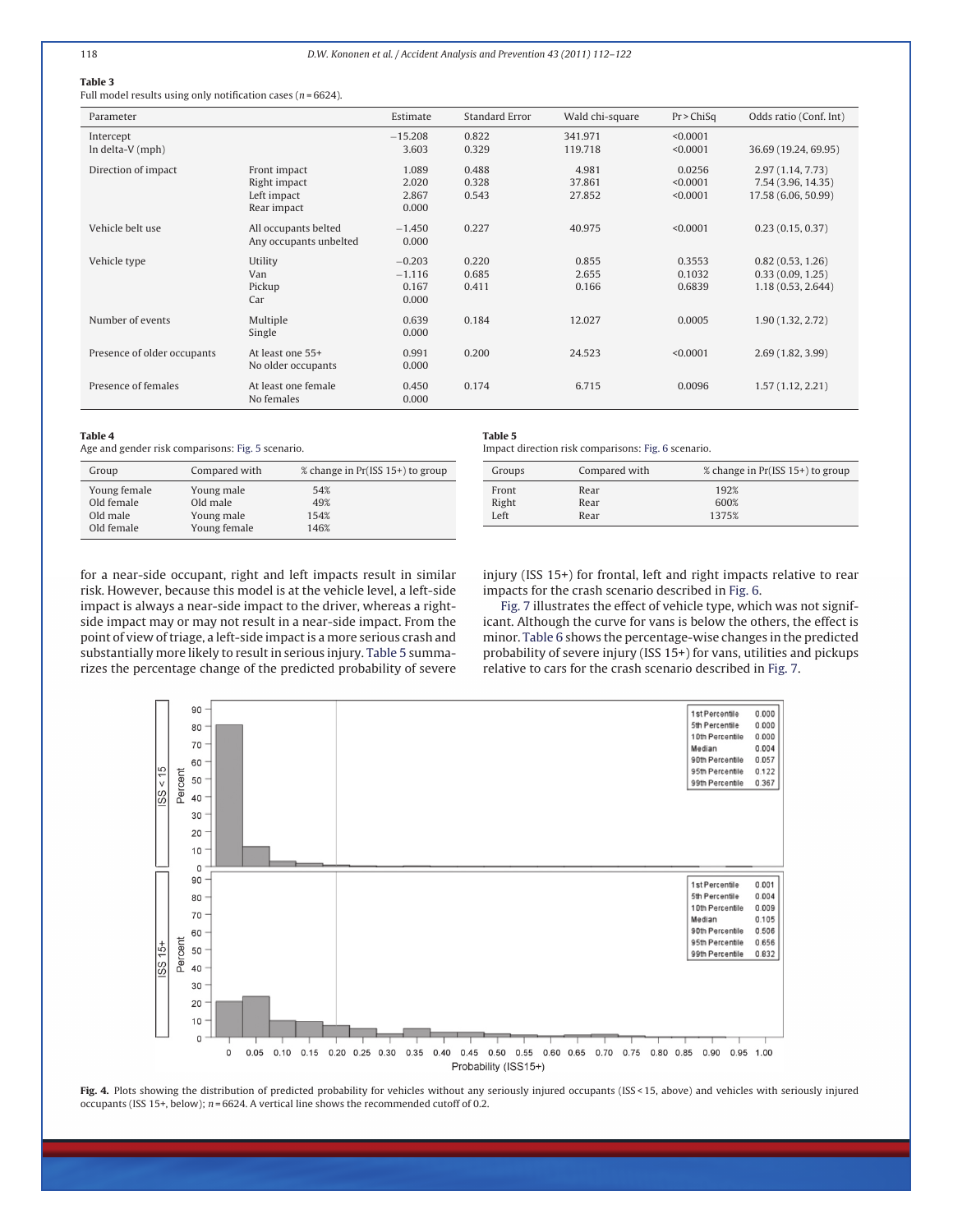#### Table 3

Full model results using only notification cases ( $n = 6624$ ).

| Parameter                     |                                                            | Estimate                               | Standard Error          | Wald chi-square           | Pr > ChiSq                     | Odds ratio (Conf. Int)                                        |
|-------------------------------|------------------------------------------------------------|----------------------------------------|-------------------------|---------------------------|--------------------------------|---------------------------------------------------------------|
| Intercept<br>In delta-V (mph) |                                                            | $-15.208$<br>3.603                     | 0.822<br>0.329          | 341.971<br>119.718        | < 0.0001<br>< 0.0001           | 36.69 (19.24, 69.95)                                          |
| Direction of impact           | Front impact<br>Right impact<br>Left impact<br>Rear impact | 1.089<br>2.020<br>2.867<br>0.000       | 0.488<br>0.328<br>0.543 | 4.981<br>37.861<br>27.852 | 0.0256<br>< 0.0001<br>< 0.0001 | 2.97(1.14, 7.73)<br>7.54 (3.96, 14.35)<br>17.58 (6.06, 50.99) |
| Vehicle belt use              | All occupants belted<br>Any occupants unbelted             | $-1.450$<br>0.000                      | 0.227                   | 40.975                    | < 0.0001                       | 0.23(0.15, 0.37)                                              |
| Vehicle type                  | Utility<br>Van<br>Pickup<br>Car                            | $-0.203$<br>$-1.116$<br>0.167<br>0.000 | 0.220<br>0.685<br>0.411 | 0.855<br>2.655<br>0.166   | 0.3553<br>0.1032<br>0.6839     | 0.82(0.53, 1.26)<br>0.33(0.09, 1.25)<br>1.18(0.53, 2.644)     |
| Number of events              | Multiple<br>Single                                         | 0.639<br>0.000                         | 0.184                   | 12.027                    | 0.0005                         | 1.90(1.32, 2.72)                                              |
| Presence of older occupants   | At least one 55+<br>No older occupants                     | 0.991<br>0.000                         | 0.200                   | 24.523                    | < 0.0001                       | 2.69(1.82, 3.99)                                              |
| Presence of females           | At least one female<br>No females                          | 0.450<br>0.000                         | 0.174                   | 6.715                     | 0.0096                         | 1.57(1.12, 2.21)                                              |

#### Table 4

Age and gender risk comparisons: Fig. 5 scenario.

| Group        | Compared with | % change in Pr(ISS 15+) to group |
|--------------|---------------|----------------------------------|
| Young female | Young male    | 54%                              |
| Old female   | Old male      | 49%                              |
| Old male     | Young male    | 154%                             |
| Old female   | Young female  | 146%                             |

Table 5

Impact direction risk comparisons: Fig. 6 scenario.

| Groups | Compared with | % change in Pr(ISS 15+) to group |
|--------|---------------|----------------------------------|
| Front  | Rear          | 192%                             |
| Right  | Rear          | 600%                             |
| Left   | Rear          | 1375%                            |

for a near-side occupant, right and left impacts result in similar risk. However, because this model is at the vehicle level, a left-side impact is always a near-side impact to the driver, whereas a rightside impact may or may not result in a near-side impact. From the point of view of triage, a left-side impact is a more serious crash and substantially more likely to result in serious injury. Table 5 summarizes the percentage change of the predicted probability of severe injury (ISS 15+) for frontal, left and right impacts relative to rear impacts for the crash scenario described in Fig. 6.

Fig. 7 illustrates the effect of vehicle type, which was not significant. Although the curve for vans is below the others, the effect is minor. Table 6 shows the percentage-wise changes in the predicted probability of severe injury (ISS 15+) for vans, utilities and pickups relative to cars for the crash scenario described in Fig. 7.



Fig. 4. Plots showing the distribution of predicted probability for vehicles without any seriously injured occupants (ISS < 15, above) and vehicles with seriously injured occupants (ISS 15+, below); n = 6624. A vertical line shows the recommended cutoff of 0.2.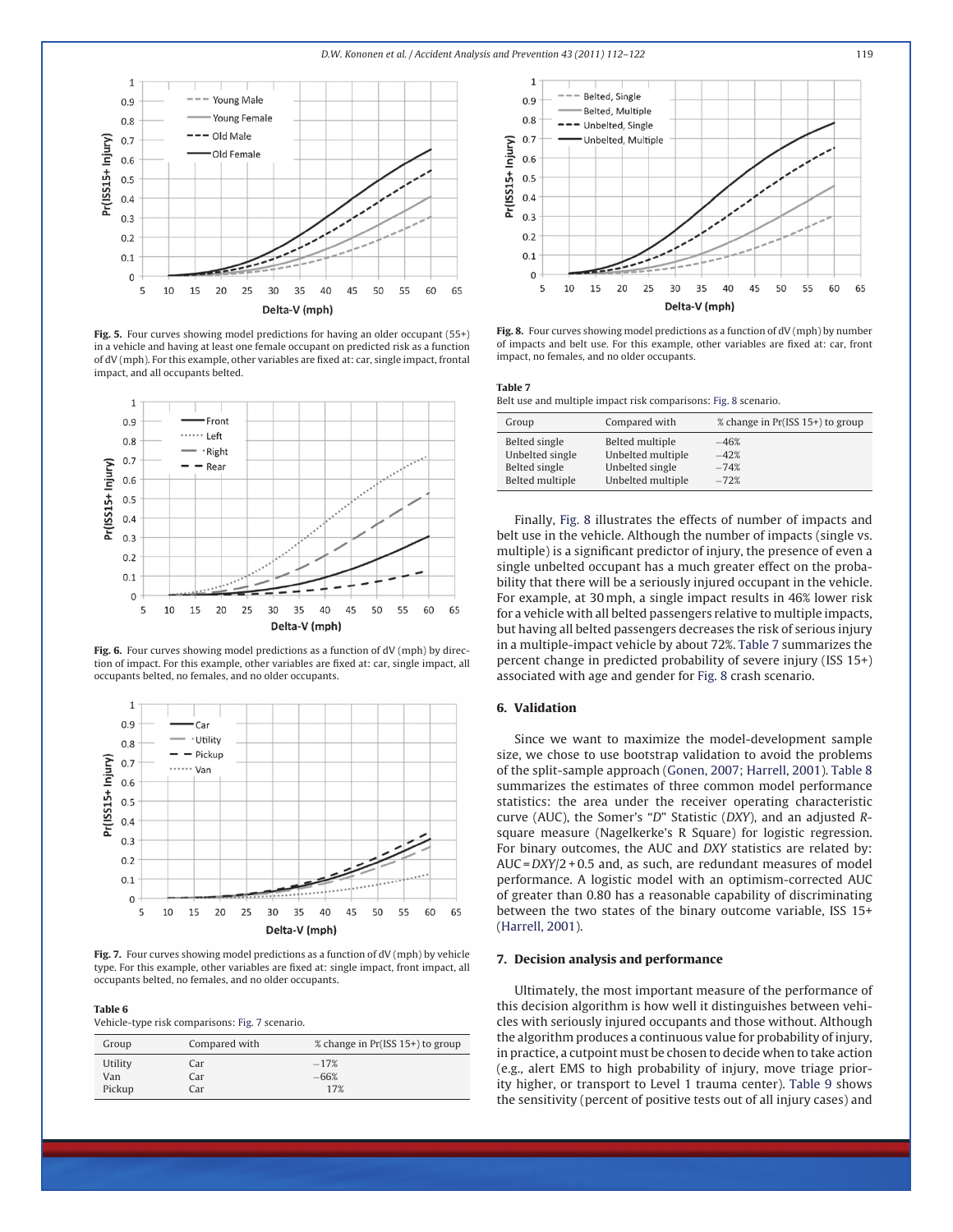

Fig. 5. Four curves showing model predictions for having an older occupant (55+) in a vehicle and having at least one female occupant on predicted risk as a function of dV (mph). For this example, other variables are fixed at: car, single impact, frontal impact, and all occupants belted.



Fig. 6. Four curves showing model predictions as a function of dV (mph) by direction of impact. For this example, other variables are fixed at: car, single impact, all occupants belted, no females, and no older occupants.



Fig. 7. Four curves showing model predictions as a function of dV (mph) by vehicle type. For this example, other variables are fixed at: single impact, front impact, all occupants belted, no females, and no older occupants.

#### Table 6

Vehicle-type risk comparisons: Fig. 7 scenario.

| Group   | Compared with | % change in Pr(ISS 15+) to group |
|---------|---------------|----------------------------------|
| Utility | Car           | $-17%$                           |
| Van     | Car           | $-66%$                           |
| Pickup  | Car           | 17%                              |



Fig. 8. Four curves showing model predictions as a function of dV (mph) by number of impacts and belt use. For this example, other variables are fixed at: car, front impact, no females, and no older occupants.

Table 7

Belt use and multiple impact risk comparisons: Fig. 8 scenario.

| Group           | Compared with     | % change in Pr(ISS 15+) to group |
|-----------------|-------------------|----------------------------------|
| Belted single   | Belted multiple   | $-46%$                           |
| Unbelted single | Unbelted multiple | $-42%$                           |
| Belted single   | Unbelted single   | $-74%$                           |
| Belted multiple | Unbelted multiple | $-72%$                           |

Finally, Fig. 8 illustrates the effects of number of impacts and belt use in the vehicle. Although the number of impacts (single vs. multiple) is a significant predictor of injury, the presence of even a single unbelted occupant has a much greater effect on the probability that there will be a seriously injured occupant in the vehicle. For example, at 30 mph, a single impact results in 46% lower risk for a vehicle with all belted passengers relative to multiple impacts, but having all belted passengers decreases the risk of serious injury in a multiple-impact vehicle by about 72%. Table 7 summarizes the percent change in predicted probability of severe injury (ISS 15+) associated with age and gender for Fig. 8 crash scenario.

#### 6. Validation

Since we want to maximize the model-development sample size, we chose to use bootstrap validation to avoid the problems of the split-sample approach (Gonen, 2007; Harrell, 2001). Table 8 summarizes the estimates of three common model performance statistics: the area under the receiver operating characteristic curve (AUC), the Somer's "D" Statistic (DXY), and an adjusted Rsquare measure (Nagelkerke's R Square) for logistic regression. For binary outcomes, the AUC and DXY statistics are related by:  $AUC = DXY/2 + 0.5$  and, as such, are redundant measures of model performance. A logistic model with an optimism-corrected AUC of greater than 0.80 has a reasonable capability of discriminating between the two states of the binary outcome variable, ISS 15+ (Harrell, 2001).

#### 7. Decision analysis and performance

Ultimately, the most important measure of the performance of this decision algorithm is how well it distinguishes between vehicles with seriously injured occupants and those without. Although the algorithm produces a continuous value for probability of injury, in practice, a cutpoint must be chosen to decide when to take action (e.g., alert EMS to high probability of injury, move triage priority higher, or transport to Level 1 trauma center). Table 9 shows the sensitivity (percent of positive tests out of all injury cases) and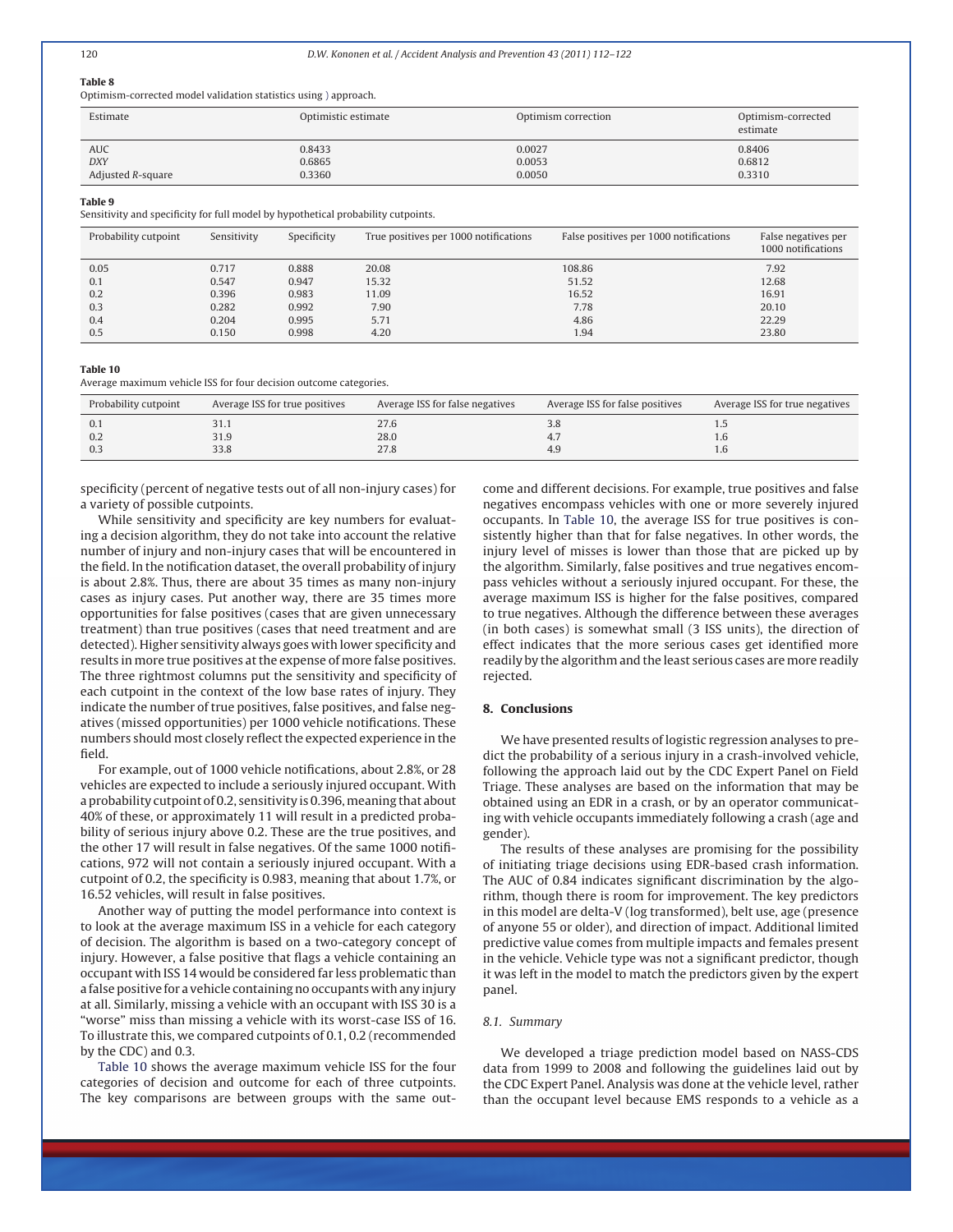#### Table 8

Optimism-corrected model validation statistics using ) approach.

| Estimate          | Optimistic estimate | Optimism correction | Optimism-corrected<br>estimate |
|-------------------|---------------------|---------------------|--------------------------------|
| <b>AUC</b>        | 0.8433              | 0.0027              | 0.8406                         |
| <b>DXY</b>        | 0.6865              | 0.0053              | 0.6812                         |
| Adjusted R-square | 0.3360              | 0.0050              | 0.3310                         |

#### Table 9

Sensitivity and specificity for full model by hypothetical probability cutpoints.

| Probability cutpoint | Sensitivity | Specificity | True positives per 1000 notifications | False positives per 1000 notifications | False negatives per<br>1000 notifications |
|----------------------|-------------|-------------|---------------------------------------|----------------------------------------|-------------------------------------------|
| 0.05                 | 0.717       | 0.888       | 20.08                                 | 108.86                                 | 7.92                                      |
| 0.1                  | 0.547       | 0.947       | 15.32                                 | 51.52                                  | 12.68                                     |
| 0.2                  | 0.396       | 0.983       | 11.09                                 | 16.52                                  | 16.91                                     |
| 0.3                  | 0.282       | 0.992       | 7.90                                  | 7.78                                   | 20.10                                     |
| 0.4                  | 0.204       | 0.995       | 5.71                                  | 4.86                                   | 22.29                                     |
| 0.5                  | 0.150       | 0.998       | 4.20                                  | 1.94                                   | 23.80                                     |

#### Table 10

Average maximum vehicle ISS for four decision outcome categories.

| Probability cutpoint | Average ISS for true positives | Average ISS for false negatives | Average ISS for false positives | Average ISS for true negatives |
|----------------------|--------------------------------|---------------------------------|---------------------------------|--------------------------------|
| 0.1                  |                                | 27.6                            |                                 |                                |
| 0.2                  |                                | 28.0                            |                                 |                                |
| 0.3                  |                                |                                 | 4.9                             |                                |

specificity (percent of negative tests out of all non-injury cases) for a variety of possible cutpoints.

While sensitivity and specificity are key numbers for evaluating a decision algorithm, they do not take into account the relative number of injury and non-injury cases that will be encountered in the field. In the notification dataset, the overall probability of injury is about 2.8%. Thus, there are about 35 times as many non-injury cases as injury cases. Put another way, there are 35 times more opportunities for false positives (cases that are given unnecessary treatment) than true positives (cases that need treatment and are detected). Higher sensitivity always goes with lower specificity and results in more true positives at the expense of more false positives. The three rightmost columns put the sensitivity and specificity of each cutpoint in the context of the low base rates of injury. They indicate the number of true positives, false positives, and false negatives (missed opportunities) per 1000 vehicle notifications. These numbers should most closely reflect the expected experience in the field.

For example, out of 1000 vehicle notifications, about 2.8%, or 28 vehicles are expected to include a seriously injured occupant. With a probability cutpoint of 0.2, sensitivity is 0.396, meaning that about 40% of these, or approximately 11 will result in a predicted probability of serious injury above 0.2. These are the true positives, and the other 17 will result in false negatives. Of the same 1000 notifications, 972 will not contain a seriously injured occupant. With a cutpoint of 0.2, the specificity is 0.983, meaning that about 1.7%, or 16.52 vehicles, will result in false positives.

Another way of putting the model performance into context is to look at the average maximum ISS in a vehicle for each category of decision. The algorithm is based on a two-category concept of injury. However, a false positive that flags a vehicle containing an occupant with ISS 14 would be considered far less problematic than a false positive for a vehicle containing no occupants with any injury at all. Similarly, missing a vehicle with an occupant with ISS 30 is a "worse" miss than missing a vehicle with its worst-case ISS of 16. To illustrate this, we compared cutpoints of 0.1, 0.2 (recommended by the CDC) and 0.3.

Table 10 shows the average maximum vehicle ISS for the four categories of decision and outcome for each of three cutpoints. The key comparisons are between groups with the same outcome and different decisions. For example, true positives and false negatives encompass vehicles with one or more severely injured occupants. In Table 10, the average ISS for true positives is consistently higher than that for false negatives. In other words, the injury level of misses is lower than those that are picked up by the algorithm. Similarly, false positives and true negatives encompass vehicles without a seriously injured occupant. For these, the average maximum ISS is higher for the false positives, compared to true negatives. Although the difference between these averages (in both cases) is somewhat small (3 ISS units), the direction of effect indicates that the more serious cases get identified more readily by the algorithm and the least serious cases are more readily rejected.

#### 8. Conclusions

We have presented results of logistic regression analyses to predict the probability of a serious injury in a crash-involved vehicle, following the approach laid out by the CDC Expert Panel on Field Triage. These analyses are based on the information that may be obtained using an EDR in a crash, or by an operator communicating with vehicle occupants immediately following a crash (age and gender).

The results of these analyses are promising for the possibility of initiating triage decisions using EDR-based crash information. The AUC of 0.84 indicates significant discrimination by the algorithm, though there is room for improvement. The key predictors in this model are delta-V (log transformed), belt use, age (presence of anyone 55 or older), and direction of impact. Additional limited predictive value comes from multiple impacts and females present in the vehicle. Vehicle type was not a significant predictor, though it was left in the model to match the predictors given by the expert panel.

#### 8.1. Summary

We developed a triage prediction model based on NASS-CDS data from 1999 to 2008 and following the guidelines laid out by the CDC Expert Panel. Analysis was done at the vehicle level, rather than the occupant level because EMS responds to a vehicle as a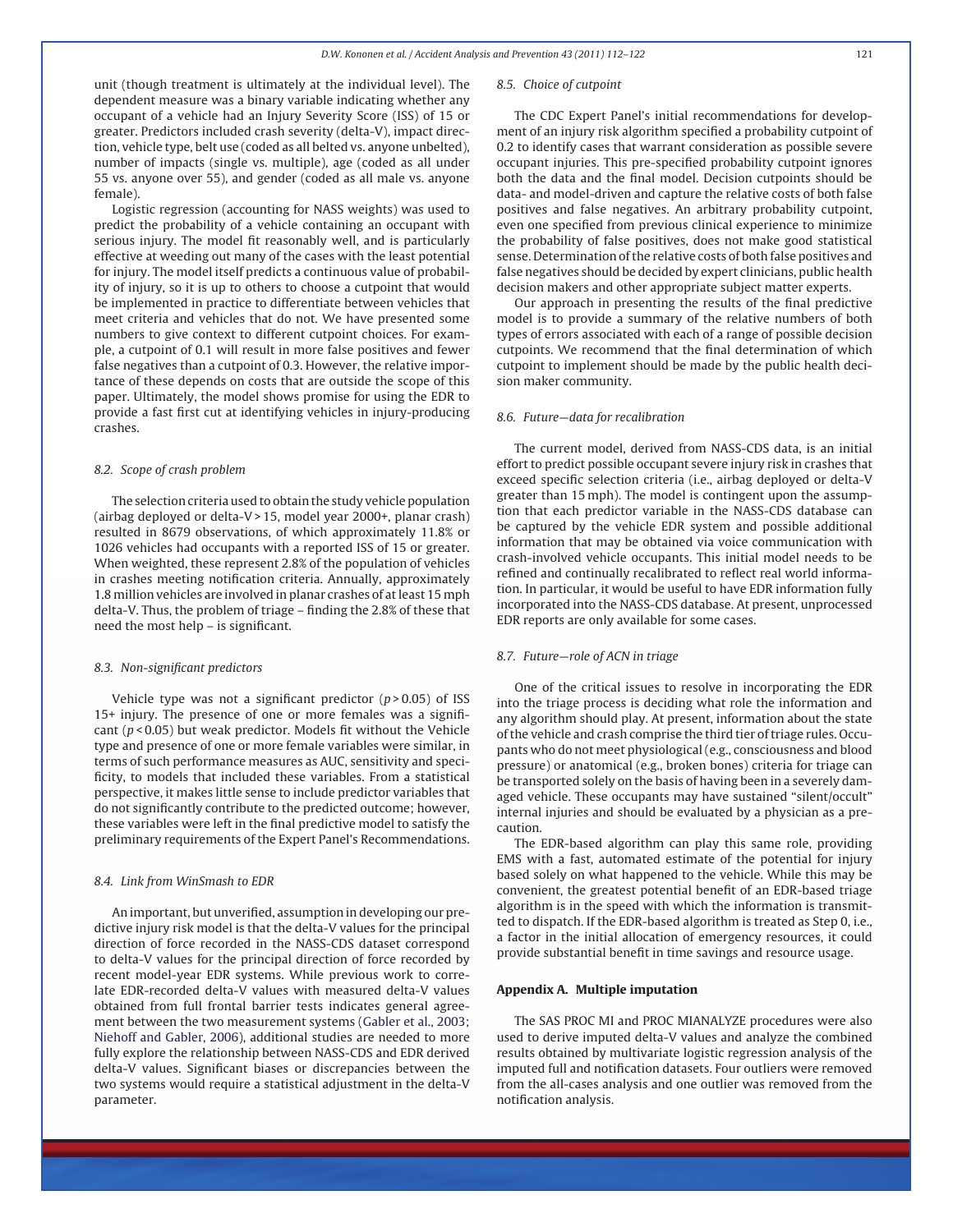unit (though treatment is ultimately at the individual level). The dependent measure was a binary variable indicating whether any occupant of a vehicle had an Injury Severity Score (ISS) of 15 or greater. Predictors included crash severity (delta-V), impact direction, vehicle type, belt use (coded as all belted vs. anyone unbelted), number of impacts (single vs. multiple), age (coded as all under 55 vs. anyone over 55), and gender (coded as all male vs. anyone female).

Logistic regression (accounting for NASS weights) was used to predict the probability of a vehicle containing an occupant with serious injury. The model fit reasonably well, and is particularly effective at weeding out many of the cases with the least potential for injury. The model itself predicts a continuous value of probability of injury, so it is up to others to choose a cutpoint that would be implemented in practice to differentiate between vehicles that meet criteria and vehicles that do not. We have presented some numbers to give context to different cutpoint choices. For example, a cutpoint of 0.1 will result in more false positives and fewer false negatives than a cutpoint of 0.3. However, the relative importance of these depends on costs that are outside the scope of this paper. Ultimately, the model shows promise for using the EDR to provide a fast first cut at identifying vehicles in injury-producing crashes.

#### 8.2. Scope of crash problem

The selection criteria used to obtain the study vehicle population (airbag deployed or delta-V > 15, model year 2000+, planar crash) resulted in 8679 observations, of which approximately 11.8% or 1026 vehicles had occupants with a reported ISS of 15 or greater. When weighted, these represent 2.8% of the population of vehicles in crashes meeting notification criteria. Annually, approximately 1.8 million vehicles are involved in planar crashes of at least 15 mph delta-V. Thus, the problem of triage – finding the 2.8% of these that need the most help – is significant.

#### 8.3. Non-significant predictors

Vehicle type was not a significant predictor  $(p > 0.05)$  of ISS 15+ injury. The presence of one or more females was a significant ( $p$  < 0.05) but weak predictor. Models fit without the Vehicle type and presence of one or more female variables were similar, in terms of such performance measures as AUC, sensitivity and specificity, to models that included these variables. From a statistical perspective, it makes little sense to include predictor variables that do not significantly contribute to the predicted outcome; however, these variables were left in the final predictive model to satisfy the preliminary requirements of the Expert Panel's Recommendations.

#### 8.4. Link from WinSmash to EDR

An important, but unverified, assumption in developing our predictive injury risk model is that the delta-V values for the principal direction of force recorded in the NASS-CDS dataset correspond to delta-V values for the principal direction of force recorded by recent model-year EDR systems. While previous work to correlate EDR-recorded delta-V values with measured delta-V values obtained from full frontal barrier tests indicates general agreement between the two measurement systems (Gabler et al., 2003; Niehoff and Gabler, 2006), additional studies are needed to more fully explore the relationship between NASS-CDS and EDR derived delta-V values. Significant biases or discrepancies between the two systems would require a statistical adjustment in the delta-V parameter.

#### 8.5. Choice of cutpoint

The CDC Expert Panel's initial recommendations for development of an injury risk algorithm specified a probability cutpoint of 0.2 to identify cases that warrant consideration as possible severe occupant injuries. This pre-specified probability cutpoint ignores both the data and the final model. Decision cutpoints should be data- and model-driven and capture the relative costs of both false positives and false negatives. An arbitrary probability cutpoint, even one specified from previous clinical experience to minimize the probability of false positives, does not make good statistical sense. Determination of the relative costs of both false positives and false negatives should be decided by expert clinicians, public health decision makers and other appropriate subject matter experts.

Our approach in presenting the results of the final predictive model is to provide a summary of the relative numbers of both types of errors associated with each of a range of possible decision cutpoints. We recommend that the final determination of which cutpoint to implement should be made by the public health decision maker community.

#### 8.6. Future—data for recalibration

The current model, derived from NASS-CDS data, is an initial effort to predict possible occupant severe injury risk in crashes that exceed specific selection criteria (i.e., airbag deployed or delta-V greater than 15 mph). The model is contingent upon the assumption that each predictor variable in the NASS-CDS database can be captured by the vehicle EDR system and possible additional information that may be obtained via voice communication with crash-involved vehicle occupants. This initial model needs to be refined and continually recalibrated to reflect real world information. In particular, it would be useful to have EDR information fully incorporated into the NASS-CDS database. At present, unprocessed EDR reports are only available for some cases.

#### 8.7. Future—role of ACN in triage

One of the critical issues to resolve in incorporating the EDR into the triage process is deciding what role the information and any algorithm should play. At present, information about the state of the vehicle and crash comprise the third tier of triage rules. Occupants who do not meet physiological (e.g., consciousness and blood pressure) or anatomical (e.g., broken bones) criteria for triage can be transported solely on the basis of having been in a severely damaged vehicle. These occupants may have sustained "silent/occult" internal injuries and should be evaluated by a physician as a precaution.

The EDR-based algorithm can play this same role, providing EMS with a fast, automated estimate of the potential for injury based solely on what happened to the vehicle. While this may be convenient, the greatest potential benefit of an EDR-based triage algorithm is in the speed with which the information is transmitted to dispatch. If the EDR-based algorithm is treated as Step 0, i.e., a factor in the initial allocation of emergency resources, it could provide substantial benefit in time savings and resource usage.

#### Appendix A. Multiple imputation

The SAS PROC MI and PROC MIANALYZE procedures were also used to derive imputed delta-V values and analyze the combined results obtained by multivariate logistic regression analysis of the imputed full and notification datasets. Four outliers were removed from the all-cases analysis and one outlier was removed from the notification analysis.